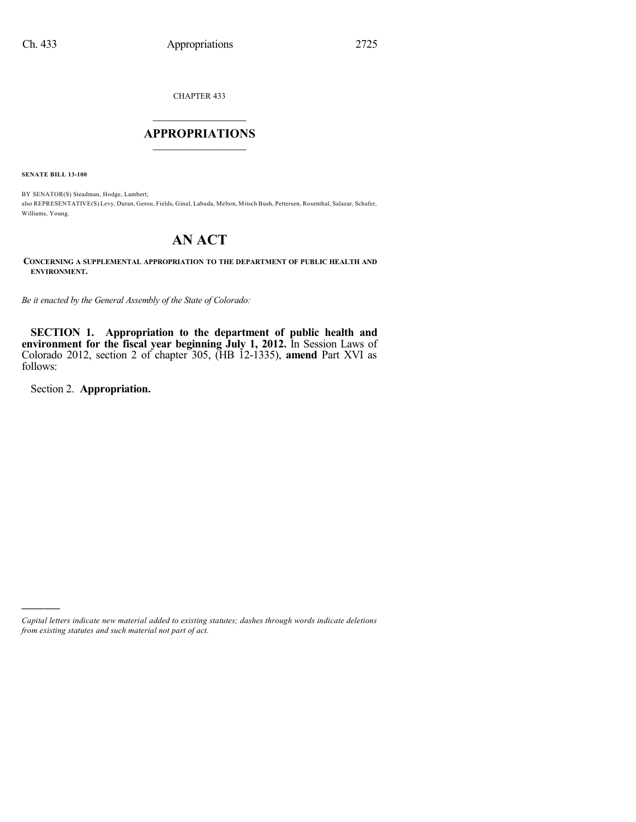CHAPTER 433

## $\mathcal{L}_\text{max}$  . The set of the set of the set of the set of the set of the set of the set of the set of the set of the set of the set of the set of the set of the set of the set of the set of the set of the set of the set **APPROPRIATIONS**  $\_$   $\_$   $\_$   $\_$   $\_$   $\_$   $\_$   $\_$

**SENATE BILL 13-100**

BY SENATOR(S) Steadman, Hodge, Lambert; also REPRESENTATIVE(S) Levy, Duran, Gerou, Fields, Ginal, Labuda, Melton, Mitsch Bush, Pettersen, Rosenthal, Salazar, Schafer, Williams, Young.

# **AN ACT**

**CONCERNING A SUPPLEMENTAL APPROPRIATION TO THE DEPARTMENT OF PUBLIC HEALTH AND ENVIRONMENT.**

*Be it enacted by the General Assembly of the State of Colorado:*

**SECTION 1. Appropriation to the department of public health and environment for the fiscal year beginning July 1, 2012.** In Session Laws of Colorado 2012, section 2 of chapter 305, (HB 12-1335), **amend** Part XVI as follows:

Section 2. **Appropriation.**

)))))

*Capital letters indicate new material added to existing statutes; dashes through words indicate deletions from existing statutes and such material not part of act.*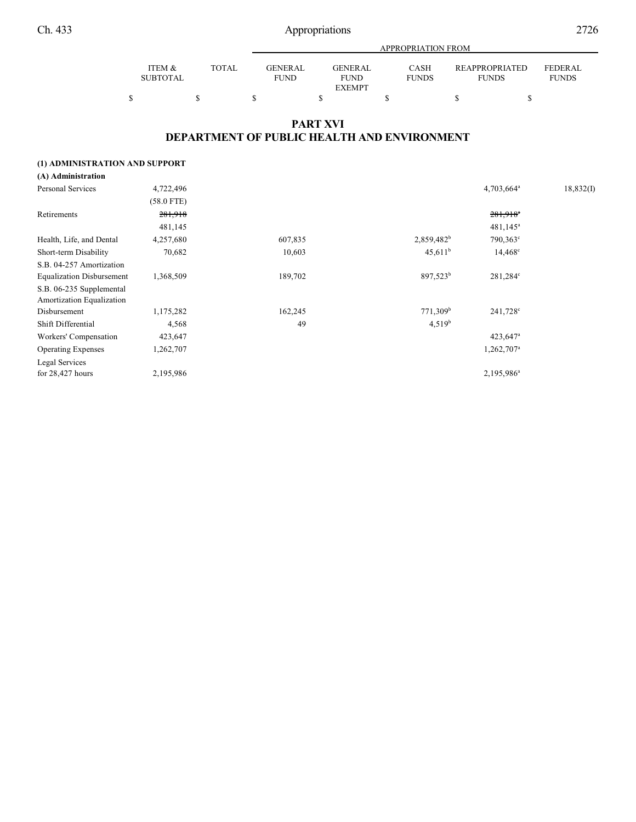|                 |       |                | APPROPRIATION FROM |              |                       |                |  |  |  |  |
|-----------------|-------|----------------|--------------------|--------------|-----------------------|----------------|--|--|--|--|
|                 |       |                |                    |              |                       |                |  |  |  |  |
| ITEM &          | TOTAL | <b>GENERAL</b> | GENER AL           | CASH         | <b>REAPPROPRIATED</b> | <b>FEDERAL</b> |  |  |  |  |
| <b>SUBTOTAL</b> |       | <b>FUND</b>    | <b>FUND</b>        | <b>FUNDS</b> | <b>FUNDS</b>          | <b>FUNDS</b>   |  |  |  |  |
|                 |       |                | <b>EXEMPT</b>      |              |                       |                |  |  |  |  |
|                 |       |                |                    |              |                       |                |  |  |  |  |

### **PART XVI DEPARTMENT OF PUBLIC HEALTH AND ENVIRONMENT**

#### **(1) ADMINISTRATION AND SUPPORT**

| (A) Administration               |              |         |                      |                        |           |
|----------------------------------|--------------|---------|----------------------|------------------------|-----------|
| Personal Services                | 4,722,496    |         |                      | 4,703,664 <sup>a</sup> | 18,832(I) |
|                                  | $(58.0$ FTE) |         |                      |                        |           |
| Retirements                      | 281,918      |         |                      | $281,918$ <sup>e</sup> |           |
|                                  | 481,145      |         |                      | $481,145^a$            |           |
| Health, Life, and Dental         | 4,257,680    | 607,835 | $2,859,482^b$        | 790,363°               |           |
| Short-term Disability            | 70,682       | 10,603  | $45,611^b$           | $14,468^{\circ}$       |           |
| S.B. 04-257 Amortization         |              |         |                      |                        |           |
| <b>Equalization Disbursement</b> | 1,368,509    | 189,702 | 897,523 <sup>b</sup> | 281,284°               |           |
| S.B. 06-235 Supplemental         |              |         |                      |                        |           |
| Amortization Equalization        |              |         |                      |                        |           |
| Disbursement                     | 1,175,282    | 162,245 | 771,309 <sup>b</sup> | 241,728 <sup>c</sup>   |           |
| Shift Differential               | 4,568        | 49      | 4,519 <sup>b</sup>   |                        |           |
| Workers' Compensation            | 423,647      |         |                      | $423,647$ <sup>a</sup> |           |
| <b>Operating Expenses</b>        | 1,262,707    |         |                      | 1,262,707 <sup>a</sup> |           |
| Legal Services                   |              |         |                      |                        |           |
| for $28,427$ hours               | 2,195,986    |         |                      | 2,195,986 <sup>a</sup> |           |
|                                  |              |         |                      |                        |           |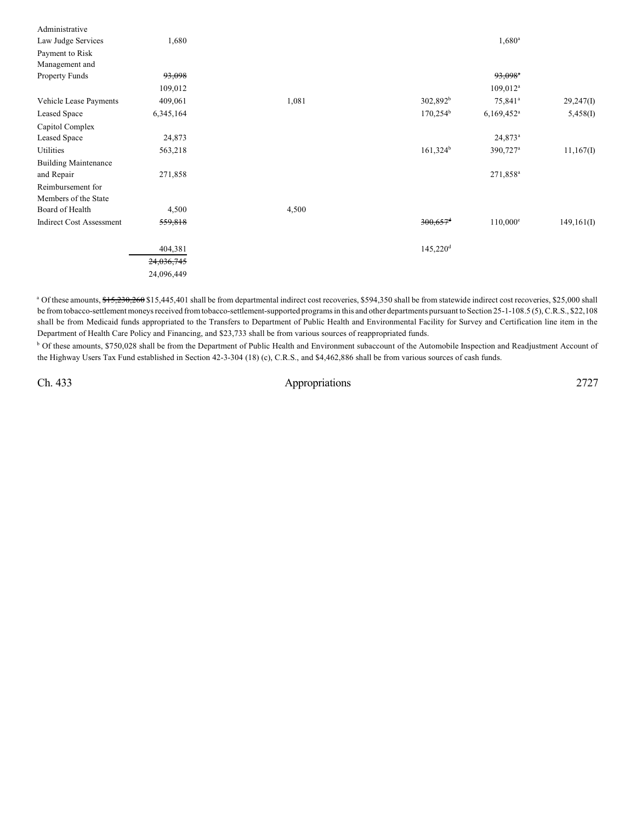| Administrative                  |            |       |                        |                          |             |
|---------------------------------|------------|-------|------------------------|--------------------------|-------------|
| Law Judge Services              | 1,680      |       |                        | $1,680^{\rm a}$          |             |
| Payment to Risk                 |            |       |                        |                          |             |
| Management and                  |            |       |                        |                          |             |
| <b>Property Funds</b>           | 93,098     |       |                        | $93,098$ <sup>a</sup>    |             |
|                                 | 109,012    |       |                        | $109,012^a$              |             |
| Vehicle Lease Payments          | 409,061    | 1,081 | $302,892^b$            | 75,841 <sup>a</sup>      | 29,247(1)   |
| Leased Space                    | 6,345,164  |       | $170,254^{\rm b}$      | $6,169,452$ <sup>a</sup> | 5,458(I)    |
| Capitol Complex                 |            |       |                        |                          |             |
| Leased Space                    | 24,873     |       |                        | 24,873 <sup>a</sup>      |             |
| Utilities                       | 563,218    |       | $161,324^b$            | 390,727 <sup>a</sup>     | 11,167(I)   |
| <b>Building Maintenance</b>     |            |       |                        |                          |             |
| and Repair                      | 271,858    |       |                        | 271,858 <sup>a</sup>     |             |
| Reimbursement for               |            |       |                        |                          |             |
| Members of the State            |            |       |                        |                          |             |
| Board of Health                 | 4,500      | 4,500 |                        |                          |             |
| <b>Indirect Cost Assessment</b> | 559,818    |       | $300,657$ <sup>d</sup> | $110,000^{\circ}$        | 149, 161(I) |
|                                 | 404,381    |       | $145,220$ <sup>d</sup> |                          |             |
|                                 | 24,036,745 |       |                        |                          |             |
|                                 | 24,096,449 |       |                        |                          |             |
|                                 |            |       |                        |                          |             |

<sup>a</sup> Of these amounts, \$15,230,260 \$15,445,401 shall be from departmental indirect cost recoveries, \$594,350 shall be from statewide indirect cost recoveries, \$25,000 shall be from tobacco-settlement moneys received from tobacco-settlement-supported programs in this and other departments pursuant to Section 25-1-108.5 (5),C.R.S., \$22,108 shall be from Medicaid funds appropriated to the Transfers to Department of Public Health and Environmental Facility for Survey and Certification line item in the Department of Health Care Policy and Financing, and \$23,733 shall be from various sources of reappropriated funds.

<sup>b</sup> Of these amounts, \$750,028 shall be from the Department of Public Health and Environment subaccount of the Automobile Inspection and Readjustment Account of the Highway Users Tax Fund established in Section 42-3-304 (18) (c), C.R.S., and \$4,462,886 shall be from various sources of cash funds.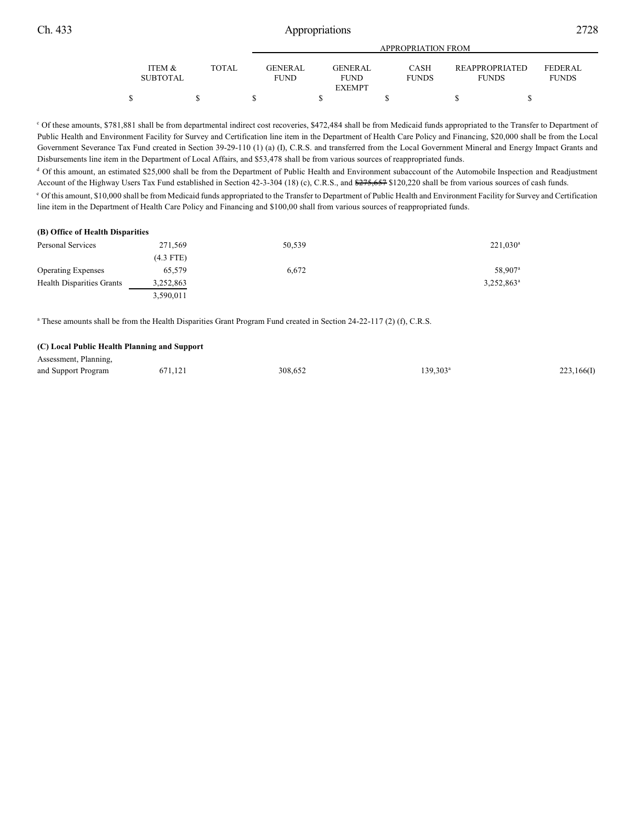|                           |       | APPROPRIATION FROM      |  |                               |  |                             |  |                                |  |                          |  |
|---------------------------|-------|-------------------------|--|-------------------------------|--|-----------------------------|--|--------------------------------|--|--------------------------|--|
| ITEM &<br><b>SUBTOTAL</b> | TOTAL | GENER AL<br><b>FUND</b> |  | <b>GENERAL</b><br><b>FUND</b> |  | <b>CASH</b><br><b>FUNDS</b> |  | REAPPROPRIATED<br><b>FUNDS</b> |  | FEDERAL.<br><b>FUNDS</b> |  |
|                           |       |                         |  | <b>EXEMPT</b>                 |  |                             |  |                                |  |                          |  |
|                           |       |                         |  |                               |  |                             |  |                                |  |                          |  |

c Of these amounts, \$781,881 shall be from departmental indirect cost recoveries, \$472,484 shall be from Medicaid funds appropriated to the Transfer to Department of Public Health and Environment Facility for Survey and Certification line item in the Department of Health Care Policy and Financing, \$20,000 shall be from the Local Government Severance Tax Fund created in Section 39-29-110 (1) (a) (I), C.R.S. and transferred from the Local Government Mineral and Energy Impact Grants and Disbursements line item in the Department of Local Affairs, and \$53,478 shall be from various sources of reappropriated funds.

<sup>d</sup> Of this amount, an estimated \$25,000 shall be from the Department of Public Health and Environment subaccount of the Automobile Inspection and Readjustment Account of the Highway Users Tax Fund established in Section 42-3-304 (18) (c), C.R.S., and  $\frac{275,657}{2120,220}$  shall be from various sources of cash funds.

 $^{\circ}$  Of this amount, \$10,000 shall be from Medicaid funds appropriated to the Transfer to Department of Public Health and Environment Facility for Survey and Certification line item in the Department of Health Care Policy and Financing and \$100,00 shall from various sources of reappropriated funds.

| (B) Office of Health Disparities |             |        |                        |
|----------------------------------|-------------|--------|------------------------|
| Personal Services                | 271.569     | 50,539 | $221,030^{\circ}$      |
|                                  | $(4.3$ FTE) |        |                        |
| <b>Operating Expenses</b>        | 65,579      | 6.672  | 58,907 <sup>a</sup>    |
| <b>Health Disparities Grants</b> | 3,252,863   |        | 3,252,863 <sup>a</sup> |
|                                  | 3,590,011   |        |                        |

<sup>a</sup> These amounts shall be from the Health Disparities Grant Program Fund created in Section 24-22-117 (2) (f), C.R.S.

#### **(C) Local Public Health Planning and Support**

| Assessment, Planning, |         |         |          |            |
|-----------------------|---------|---------|----------|------------|
| and Support Program   | 671,121 | 308,652 | 139.303ª | 223,166(I) |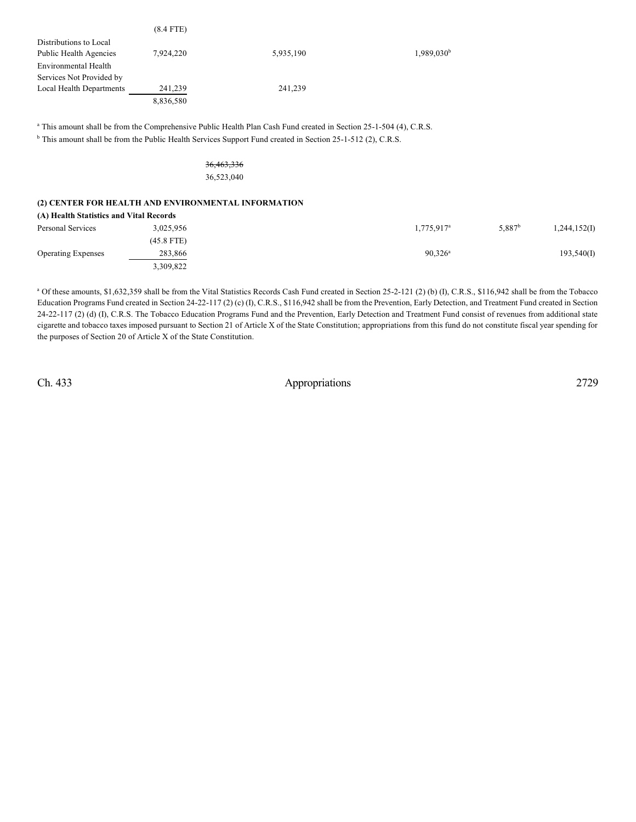|                                                     | $(8.4$ FTE) |                                                                                                                               |                        |  |
|-----------------------------------------------------|-------------|-------------------------------------------------------------------------------------------------------------------------------|------------------------|--|
| Distributions to Local                              |             |                                                                                                                               |                        |  |
| Public Health Agencies                              | 7,924,220   | 5,935,190                                                                                                                     | 1,989,030 <sup>b</sup> |  |
| Environmental Health                                |             |                                                                                                                               |                        |  |
| Services Not Provided by                            |             |                                                                                                                               |                        |  |
| Local Health Departments                            | 241,239     | 241,239                                                                                                                       |                        |  |
|                                                     | 8,836,580   |                                                                                                                               |                        |  |
|                                                     |             |                                                                                                                               |                        |  |
|                                                     |             | <sup>a</sup> This amount shall be from the Comprehensive Public Health Plan Cash Fund created in Section 25-1-504 (4), C.R.S. |                        |  |
|                                                     |             | <sup>b</sup> This amount shall be from the Public Health Services Support Fund created in Section 25-1-512 (2), C.R.S.        |                        |  |
|                                                     |             |                                                                                                                               |                        |  |
|                                                     |             | 36,463,336                                                                                                                    |                        |  |
|                                                     |             | 36,523,040                                                                                                                    |                        |  |
|                                                     |             |                                                                                                                               |                        |  |
| (2) CENTER FOR HEALTH AND ENVIRONMENTAL INFORMATION |             |                                                                                                                               |                        |  |

| (A) Health Statistics and Vital Records |            |                     |                 |              |
|-----------------------------------------|------------|---------------------|-----------------|--------------|
| Personal Services                       | 3,025,956  | $1,775,917^{\circ}$ | $5,887^{\rm b}$ | 1,244,152(I) |
|                                         | (45.8 FTE) |                     |                 |              |
| <b>Operating Expenses</b>               | 283.866    | $90,326^{\rm a}$    |                 | 193,540(I)   |
|                                         | 3,309,822  |                     |                 |              |

 $^a$  Of these amounts, \$1,632,359 shall be from the Vital Statistics Records Cash Fund created in Section 25-2-121 (2) (b) (I), C.R.S., \$116,942 shall be from the Tobacco Education Programs Fund created in Section 24-22-117 (2) (c) (I), C.R.S., \$116,942 shall be from the Prevention, Early Detection, and Treatment Fund created in Section 24-22-117 (2) (d) (I), C.R.S. The Tobacco Education Programs Fund and the Prevention, Early Detection and Treatment Fund consist of revenues from additional state cigarette and tobacco taxes imposed pursuant to Section 21 of Article X of the State Constitution; appropriations from this fund do not constitute fiscal year spending for the purposes of Section 20 of Article X of the State Constitution.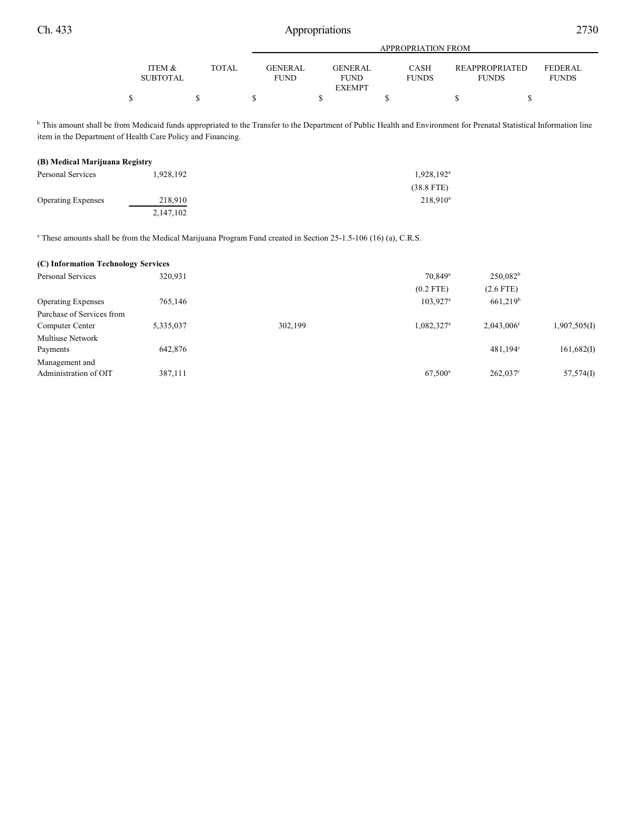|                 |       |             | <b>APPROPRIATION FROM</b> |              |                       |              |  |  |  |  |
|-----------------|-------|-------------|---------------------------|--------------|-----------------------|--------------|--|--|--|--|
| ITEM &          | TOTAL | GENERAL     | GENERAL                   | <b>CASH</b>  | <b>REAPPROPRIATED</b> | FEDERAL      |  |  |  |  |
|                 |       |             |                           |              |                       |              |  |  |  |  |
| <b>SUBTOTAL</b> |       | <b>FUND</b> | <b>FUND</b>               | <b>FUNDS</b> | <b>FUNDS</b>          | <b>FUNDS</b> |  |  |  |  |
|                 |       |             | <b>EXEMPT</b>             |              |                       |              |  |  |  |  |
|                 |       |             |                           |              |                       |              |  |  |  |  |

<sup>b</sup> This amount shall be from Medicaid funds appropriated to the Transfer to the Department of Public Health and Environment for Prenatal Statistical Information line item in the Department of Health Care Policy and Financing.

#### **(B) Medical Marijuana Registry**

| Personal Services         | 1,928,192 | $1,928,192^{\text{a}}$ |
|---------------------------|-----------|------------------------|
|                           |           | $(38.8$ FTE)           |
| <b>Operating Expenses</b> | 218,910   | $218,910^a$            |
|                           | 2,147,102 |                        |

<sup>a</sup> These amounts shall be from the Medical Marijuana Program Fund created in Section 25-1.5-106 (16) (a), C.R.S.

| (C) Information Technology Services |           |         |                        |                      |              |
|-------------------------------------|-----------|---------|------------------------|----------------------|--------------|
| <b>Personal Services</b>            | 320,931   |         | 70.849 <sup>a</sup>    | $250,082^b$          |              |
|                                     |           |         | $(0.2$ FTE)            | $(2.6$ FTE)          |              |
| <b>Operating Expenses</b>           | 765,146   |         | 103,927 <sup>a</sup>   | 661,219 <sup>b</sup> |              |
| Purchase of Services from           |           |         |                        |                      |              |
| Computer Center                     | 5,335,037 | 302,199 | 1,082,327 <sup>a</sup> | $2.043.006^{\circ}$  | 1,907,505(I) |
| Multiuse Network                    |           |         |                        |                      |              |
| Payments                            | 642,876   |         |                        | $481,194^{\circ}$    | 161,682(I)   |
| Management and                      |           |         |                        |                      |              |
| Administration of OIT               | 387,111   |         | $67,500^{\rm a}$       | $262,037^{\circ}$    | 57,574(I)    |
|                                     |           |         |                        |                      |              |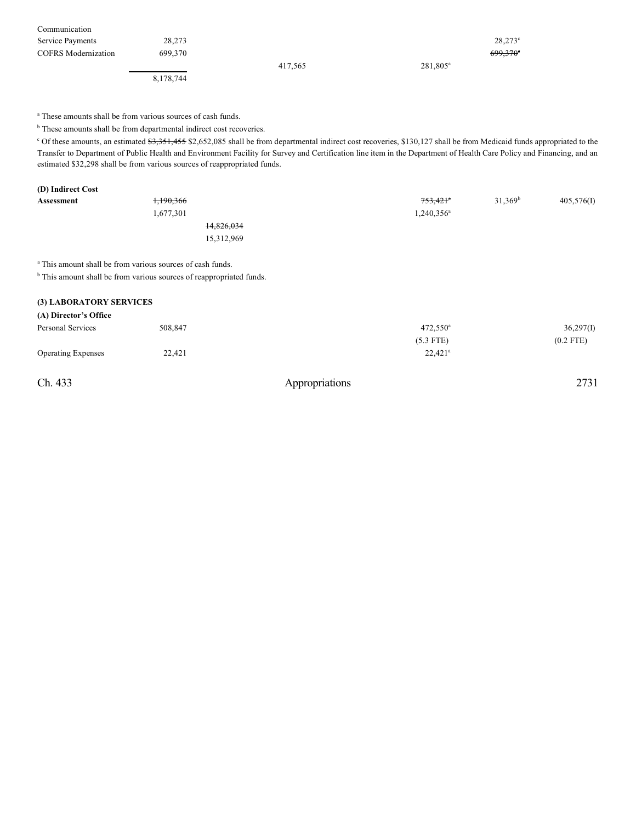| Communication              |           |         |             |                  |
|----------------------------|-----------|---------|-------------|------------------|
| Service Payments           | 28.273    |         |             | $28.273^{\circ}$ |
| <b>COFRS</b> Modernization | 699.370   |         |             | $699.370$ °      |
|                            |           | 417,565 | $281.805^a$ |                  |
|                            | 8,178,744 |         |             |                  |

<sup>a</sup> These amounts shall be from various sources of cash funds.

 $<sup>b</sup>$  These amounts shall be from departmental indirect cost recoveries.</sup>

<sup>c</sup> Of these amounts, an estimated \$3,351,455 \$2,652,085 shall be from departmental indirect cost recoveries, \$130,127 shall be from Medicaid funds appropriated to the Transfer to Department of Public Health and Environment Facility for Survey and Certification line item in the Department of Health Care Policy and Financing, and an estimated \$32,298 shall be from various sources of reappropriated funds.

| (D) Indirect Cost |                                                                       |                      |            |            |
|-------------------|-----------------------------------------------------------------------|----------------------|------------|------------|
| Assessment        | 1,190,366                                                             | 753,421 <sup>a</sup> | $31,369^b$ | 405,576(I) |
|                   | 1,677,301                                                             | $1,240,356^a$        |            |            |
|                   | 14,826,034                                                            |                      |            |            |
|                   | 15,312,969                                                            |                      |            |            |
|                   | <sup>a</sup> This amount shall be from various sources of cash funds. |                      |            |            |

<sup>b</sup> This amount shall be from various sources of reappropriated funds.

# **(3) LABORATORY SERVICES**

| (A) Director's Office     |         |                       |             |
|---------------------------|---------|-----------------------|-------------|
| Personal Services         | 508.847 | $472.550^{\circ}$     | 36,297(I)   |
|                           |         | $(5.3$ FTE)           | $(0.2$ FTE) |
| <b>Operating Expenses</b> | 22,421  | $22.421$ <sup>a</sup> |             |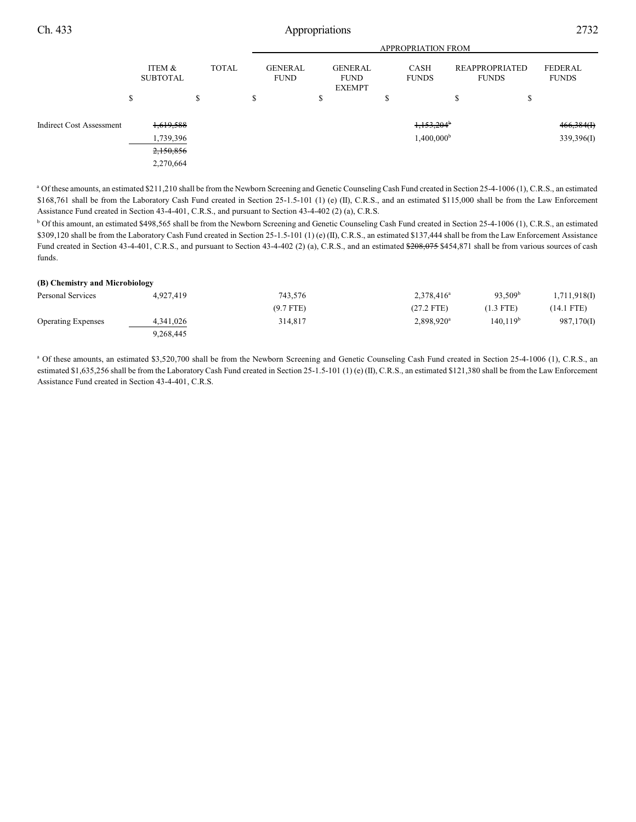|                                 |                           |              |                               | <b>APPROPRIATION FROM</b>                      |                             |                                |                         |  |
|---------------------------------|---------------------------|--------------|-------------------------------|------------------------------------------------|-----------------------------|--------------------------------|-------------------------|--|
|                                 | ITEM &<br><b>SUBTOTAL</b> | <b>TOTAL</b> | <b>GENERAL</b><br><b>FUND</b> | <b>GENERAL</b><br><b>FUND</b><br><b>EXEMPT</b> | <b>CASH</b><br><b>FUNDS</b> | REAPPROPRIATED<br><b>FUNDS</b> | FEDERAL<br><b>FUNDS</b> |  |
|                                 | Φ<br>ъ                    | \$           | ъ                             | \$                                             | ъ                           | \$<br>ъ                        |                         |  |
| <b>Indirect Cost Assessment</b> | 1,619,588                 |              |                               |                                                | $1,153,204$ <sup>b</sup>    |                                | 466,384(f)              |  |
|                                 | 1,739,396                 |              |                               |                                                | 1,400,000 <sup>b</sup>      |                                | 339,396(I)              |  |
|                                 | 2,150,856                 |              |                               |                                                |                             |                                |                         |  |
|                                 | 2,270,664                 |              |                               |                                                |                             |                                |                         |  |

<sup>a</sup> Of these amounts, an estimated \$211,210 shall be from the Newborn Screening and Genetic Counseling Cash Fund created in Section 25-4-1006 (1), C.R.S., an estimated \$168,761 shall be from the Laboratory Cash Fund created in Section 25-1.5-101 (1) (e) (II), C.R.S., and an estimated \$115,000 shall be from the Law Enforcement Assistance Fund created in Section 43-4-401, C.R.S., and pursuant to Section 43-4-402 (2) (a), C.R.S.

<sup>b</sup> Of this amount, an estimated \$498,565 shall be from the Newborn Screening and Genetic Counseling Cash Fund created in Section 25-4-1006 (1), C.R.S., an estimated \$309,120 shall be from the Laboratory Cash Fund created in Section 25-1.5-101 (1) (e) (II), C.R.S., an estimated \$137,444 shall be from the Law Enforcement Assistance Fund created in Section 43-4-401, C.R.S., and pursuant to Section 43-4-402 (2) (a), C.R.S., and an estimated \$208,075 \$454,871 shall be from various sources of cash funds.

#### **(B) Chemistry and Microbiology**

| Personal Services         | 4,927,419 | 743,576     | $2.378.416^a$          | 93.509 <sup>b</sup>  | 1,711,918(I) |
|---------------------------|-----------|-------------|------------------------|----------------------|--------------|
|                           |           | $(9.7$ FTE) | $(27.2$ FTE)           | $(1.3$ FTE)          | $(14.1$ FTE) |
| <b>Operating Expenses</b> | 4,341,026 | 314,817     | 2,898,920 <sup>a</sup> | 140,119 <sup>b</sup> | 987,170(I)   |
|                           | 9.268.445 |             |                        |                      |              |

<sup>a</sup> Of these amounts, an estimated \$3,520,700 shall be from the Newborn Screening and Genetic Counseling Cash Fund created in Section 25-4-1006 (1), C.R.S., an estimated \$1,635,256 shall be from the Laboratory Cash Fund created in Section 25-1.5-101 (1) (e) (II), C.R.S., an estimated \$121,380 shall be from the Law Enforcement Assistance Fund created in Section 43-4-401, C.R.S.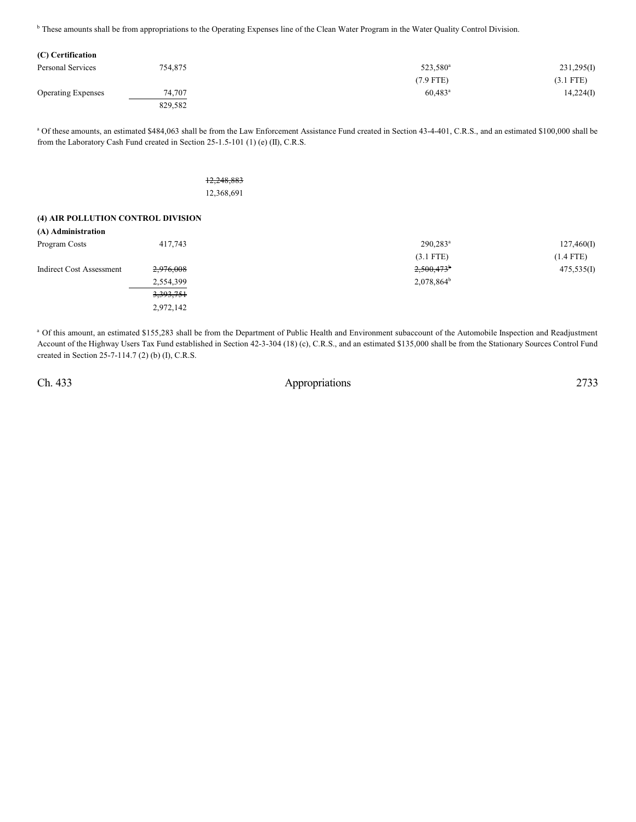<sup>b</sup> These amounts shall be from appropriations to the Operating Expenses line of the Clean Water Program in the Water Quality Control Division.

| Personal Services         | 754,875 | 523,580 <sup>a</sup>  | 231,295(I)  |
|---------------------------|---------|-----------------------|-------------|
|                           |         | $(7.9$ FTE)           | $(3.1$ FTE) |
| <b>Operating Expenses</b> | 74,707  | $60,483$ <sup>a</sup> | 14,224(I)   |
|                           | 829,582 |                       |             |

<sup>a</sup> Of these amounts, an estimated \$484,063 shall be from the Law Enforcement Assistance Fund created in Section 43-4-401, C.R.S., and an estimated \$100,000 shall be from the Laboratory Cash Fund created in Section 25-1.5-101 (1) (e) (II), C.R.S.

> 12,248,883 12,368,691

#### **(4) AIR POLLUTION CONTROL DIVISION**

| $290.283$ <sup>a</sup>   | 127,460(I)  |
|--------------------------|-------------|
| $(3.1$ FTE)              | $(1.4$ FTE) |
| $2,500,473$ <sup>b</sup> | 475,535(I)  |
| $2,078,864^b$            |             |
|                          |             |
|                          |             |
|                          |             |

<sup>a</sup> Of this amount, an estimated \$155,283 shall be from the Department of Public Health and Environment subaccount of the Automobile Inspection and Readjustment Account of the Highway Users Tax Fund established in Section 42-3-304 (18) (c), C.R.S., and an estimated \$135,000 shall be from the Stationary Sources Control Fund created in Section 25-7-114.7 (2) (b) (I), C.R.S.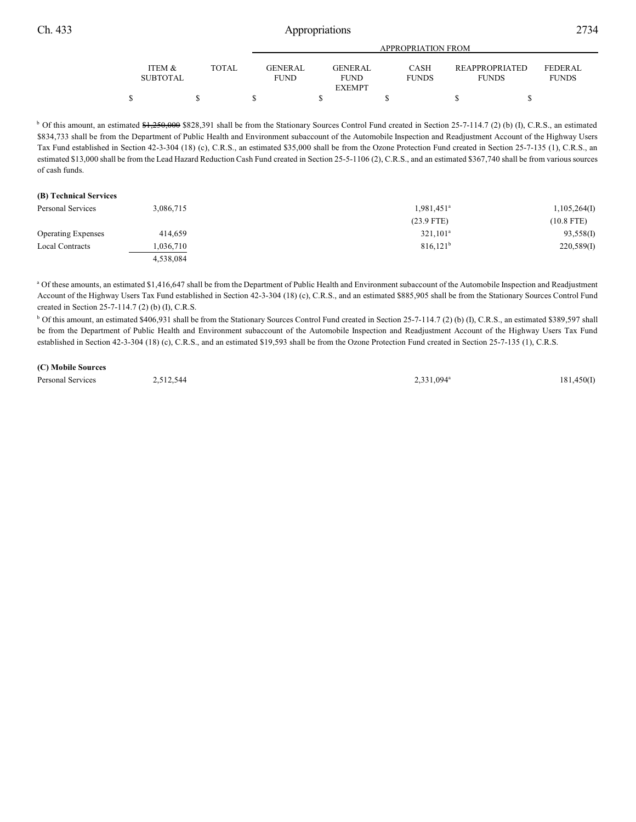| Ch. 433 |                           | Appropriations |  |                               |                                                                        |                                |                                | 2734 |  |
|---------|---------------------------|----------------|--|-------------------------------|------------------------------------------------------------------------|--------------------------------|--------------------------------|------|--|
|         |                           |                |  |                               | APPROPRIATION FROM                                                     |                                |                                |      |  |
|         | ITEM &<br><b>SUBTOTAL</b> | <b>TOTAL</b>   |  | <b>GENERAL</b><br><b>FUND</b> | <b>GENERAL</b><br>CASH<br><b>FUNDS</b><br><b>FUND</b><br><b>EXEMPT</b> | REAPPROPRIATED<br><b>FUNDS</b> | <b>FEDERAL</b><br><b>FUNDS</b> |      |  |
|         |                           |                |  |                               |                                                                        |                                |                                |      |  |

<sup>b</sup> Of this amount, an estimated \$1,250,000 \$828,391 shall be from the Stationary Sources Control Fund created in Section 25-7-114.7 (2) (b) (I), C.R.S., an estimated \$834,733 shall be from the Department of Public Health and Environment subaccount of the Automobile Inspection and Readjustment Account of the Highway Users Tax Fund established in Section 42-3-304 (18) (c), C.R.S., an estimated \$35,000 shall be from the Ozone Protection Fund created in Section 25-7-135 (1), C.R.S., an estimated \$13,000 shall be from the Lead Hazard Reduction Cash Fund created in Section 25-5-1106 (2), C.R.S., and an estimated \$367,740 shall be from various sources of cash funds.

#### **(B) Technical Services**

| Personal Services         | 3,086,715 | 1,981,451 <sup>a</sup> | 1,105,264(I) |
|---------------------------|-----------|------------------------|--------------|
|                           |           | $(23.9$ FTE)           | (10.8 FTE)   |
| <b>Operating Expenses</b> | 414.659   | $321,101^a$            | 93,558(I)    |
| Local Contracts           | 1,036,710 | $816,121^b$            | 220,589(1)   |
|                           | 4.538.084 |                        |              |

<sup>a</sup> Of these amounts, an estimated \$1,416,647 shall be from the Department of Public Health and Environment subaccount of the Automobile Inspection and Readjustment Account of the Highway Users Tax Fund established in Section 42-3-304 (18) (c), C.R.S., and an estimated \$885,905 shall be from the Stationary Sources Control Fund created in Section 25-7-114.7 (2) (b) (I), C.R.S.

<sup>b</sup> Of this amount, an estimated \$406,931 shall be from the Stationary Sources Control Fund created in Section 25-7-114.7 (2) (b) (I), C.R.S., an estimated \$389,597 shall be from the Department of Public Health and Environment subaccount of the Automobile Inspection and Readjustment Account of the Highway Users Tax Fund established in Section 42-3-304 (18) (c), C.R.S., and an estimated \$19,593 shall be from the Ozone Protection Fund created in Section 25-7-135 (1), C.R.S.

#### **(C) Mobile Sources**

Personal Services 2,512,544 2,331,094<sup>a</sup> 2,331,094<sup>a</sup> 181,450(I)

2,331,094<sup>a</sup>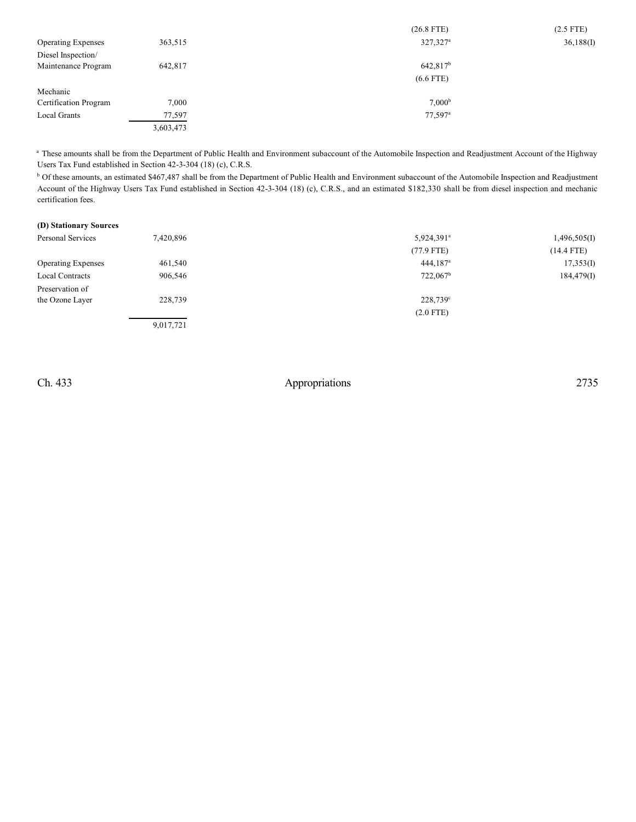|                           |           | $(26.8$ FTE)           | $(2.5$ FTE) |
|---------------------------|-----------|------------------------|-------------|
| <b>Operating Expenses</b> | 363,515   | $327,327$ <sup>a</sup> | 36,188(I)   |
| Diesel Inspection/        |           |                        |             |
| Maintenance Program       | 642,817   | $642,817^b$            |             |
|                           |           | $(6.6$ FTE)            |             |
| Mechanic                  |           |                        |             |
| Certification Program     | 7,000     | 7.000 <sup>b</sup>     |             |
| Local Grants              | 77,597    | $77,597$ <sup>a</sup>  |             |
|                           | 3,603,473 |                        |             |

<sup>a</sup> These amounts shall be from the Department of Public Health and Environment subaccount of the Automobile Inspection and Readjustment Account of the Highway Users Tax Fund established in Section 42-3-304 (18) (c), C.R.S.

<sup>b</sup> Of these amounts, an estimated \$467,487 shall be from the Department of Public Health and Environment subaccount of the Automobile Inspection and Readjustment Account of the Highway Users Tax Fund established in Section 42-3-304 (18) (c), C.R.S., and an estimated \$182,330 shall be from diesel inspection and mechanic certification fees.

| (D) Stationary Sources    |           |                      |              |
|---------------------------|-----------|----------------------|--------------|
| Personal Services         | 7,420,896 | $5,924,391^a$        | 1,496,505(I) |
|                           |           | $(77.9$ FTE)         | $(14.4$ FTE) |
| <b>Operating Expenses</b> | 461,540   | 444,187 <sup>a</sup> | 17,353(I)    |
| Local Contracts           | 906,546   | 722,067 <sup>b</sup> | 184,479(I)   |
| Preservation of           |           |                      |              |
| the Ozone Layer           | 228,739   | $228,739^{\circ}$    |              |
|                           |           | $(2.0$ FTE)          |              |
|                           | 9,017,721 |                      |              |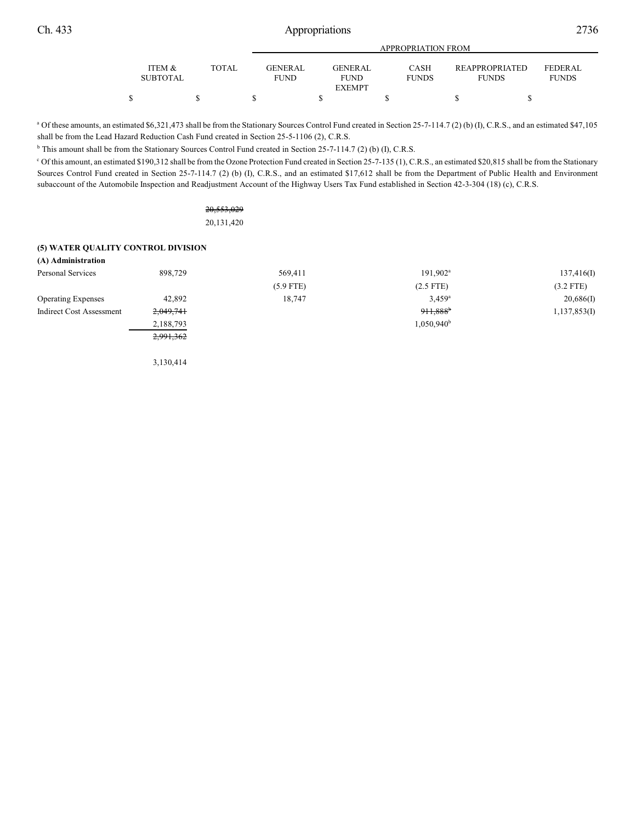|                           |       |                                | <b>APPROPRIATION FROM</b> |                               |                             |  |                                |                                |  |  |
|---------------------------|-------|--------------------------------|---------------------------|-------------------------------|-----------------------------|--|--------------------------------|--------------------------------|--|--|
| ITEM &<br><b>SUBTOTAL</b> | TOTAL | <b>GENER AL</b><br><b>FUND</b> |                           | <b>GENERAL</b><br><b>FUND</b> | <b>CASH</b><br><b>FUNDS</b> |  | REAPPROPRIATED<br><b>FUNDS</b> | <b>FEDERAL</b><br><b>FUNDS</b> |  |  |
|                           |       |                                |                           | <b>EXEMPT</b>                 |                             |  |                                |                                |  |  |
| \$                        |       |                                |                           |                               |                             |  |                                |                                |  |  |

<sup>a</sup> Of these amounts, an estimated \$6,321,473 shall be from the Stationary Sources Control Fund created in Section 25-7-114.7 (2) (b) (I), C.R.S., and an estimated \$47,105 shall be from the Lead Hazard Reduction Cash Fund created in Section 25-5-1106 (2), C.R.S.

<sup>b</sup> This amount shall be from the Stationary Sources Control Fund created in Section 25-7-114.7 (2) (b) (I), C.R.S.

Of this amount, an estimated \$190,312 shall be from the Ozone Protection Fund created in Section 25-7-135 (1), C.R.S., an estimated \$20,815 shall be from the Stationary <sup>c</sup> Sources Control Fund created in Section 25-7-114.7 (2) (b) (I), C.R.S., and an estimated \$17,612 shall be from the Department of Public Health and Environment subaccount of the Automobile Inspection and Readjustment Account of the Highway Users Tax Fund established in Section 42-3-304 (18) (c), C.R.S.

> 20,553,029 20,131,420

#### **(5) WATER QUALITY CONTROL DIVISION**

| 898.729   | 569,411     | $191,902^{\text{a}}$   | 137,416(I)   |
|-----------|-------------|------------------------|--------------|
|           | $(5.9$ FTE) | $(2.5$ FTE)            | $(3.2$ FTE)  |
| 42,892    | 18,747      | $3.459$ <sup>a</sup>   | 20,686(I)    |
| 2,049,741 |             | $911,888$ <sup>b</sup> | 1,137,853(I) |
| 2,188,793 |             | $1,050,940^{\rm b}$    |              |
| 2,991,362 |             |                        |              |
|           |             |                        |              |

3,130,414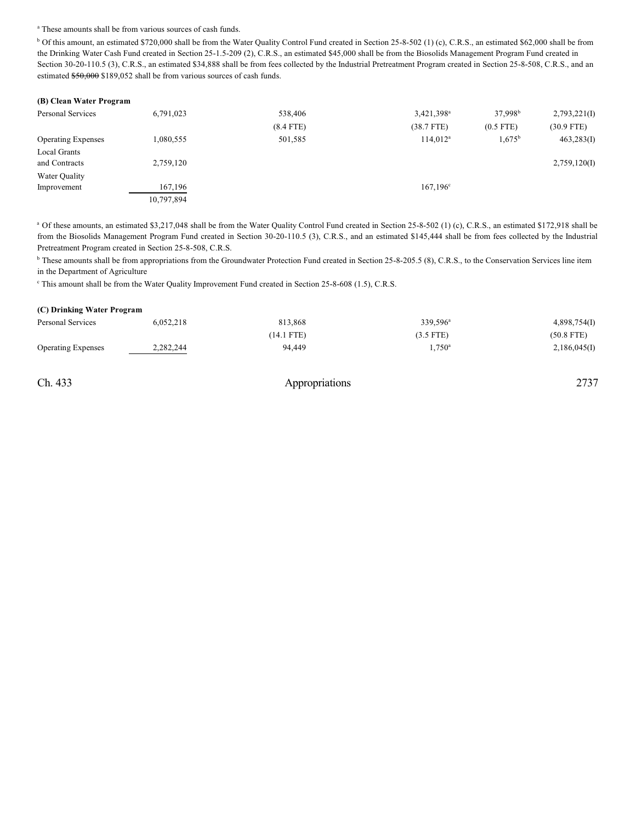#### <sup>a</sup> These amounts shall be from various sources of cash funds.

<sup>b</sup> Of this amount, an estimated \$720,000 shall be from the Water Quality Control Fund created in Section 25-8-502 (1) (c), C.R.S., an estimated \$62,000 shall be from the Drinking Water Cash Fund created in Section 25-1.5-209 (2), C.R.S., an estimated \$45,000 shall be from the Biosolids Management Program Fund created in Section 30-20-110.5 (3), C.R.S., an estimated \$34,888 shall be from fees collected by the Industrial Pretreatment Program created in Section 25-8-508, C.R.S., and an estimated \$50,000 \$189,052 shall be from various sources of cash funds.

| (B) Clean Water Program   |            |             |                        |                     |              |
|---------------------------|------------|-------------|------------------------|---------------------|--------------|
| Personal Services         | 6,791,023  | 538,406     | 3,421,398 <sup>a</sup> | 37.998 <sup>b</sup> | 2,793,221(I) |
|                           |            | $(8.4$ FTE) | $(38.7$ FTE)           | $(0.5$ FTE)         | $(30.9$ FTE) |
| <b>Operating Expenses</b> | 1,080,555  | 501,585     | 114.012 <sup>a</sup>   | $1,675^{\rm b}$     | 463,283(I)   |
| Local Grants              |            |             |                        |                     |              |
| and Contracts             | 2,759,120  |             |                        |                     | 2,759,120(I) |
| Water Quality             |            |             |                        |                     |              |
| Improvement               | 167,196    |             | $167,196^{\circ}$      |                     |              |
|                           | 10,797,894 |             |                        |                     |              |

<sup>a</sup> Of these amounts, an estimated \$3,217,048 shall be from the Water Quality Control Fund created in Section 25-8-502 (1) (c), C.R.S., an estimated \$172,918 shall be from the Biosolids Management Program Fund created in Section 30-20-110.5 (3), C.R.S., and an estimated \$145,444 shall be from fees collected by the Industrial Pretreatment Program created in Section 25-8-508, C.R.S.

<sup>b</sup> These amounts shall be from appropriations from the Groundwater Protection Fund created in Section 25-8-205.5 (8), C.R.S., to the Conservation Services line item in the Department of Agriculture

<sup>c</sup> This amount shall be from the Water Quality Improvement Fund created in Section 25-8-608 (1.5), C.R.S.

| Personal Services         | 6,052,218 | 813,868    | 339,596 <sup>a</sup> | 4,898,754(I) |
|---------------------------|-----------|------------|----------------------|--------------|
|                           |           | (14.1 FTE) | $(3.5$ FTE)          | $(50.8$ FTE) |
| <b>Operating Expenses</b> | 2,282,244 | 94.449     | $1.750^a$            | 2,186,045(I) |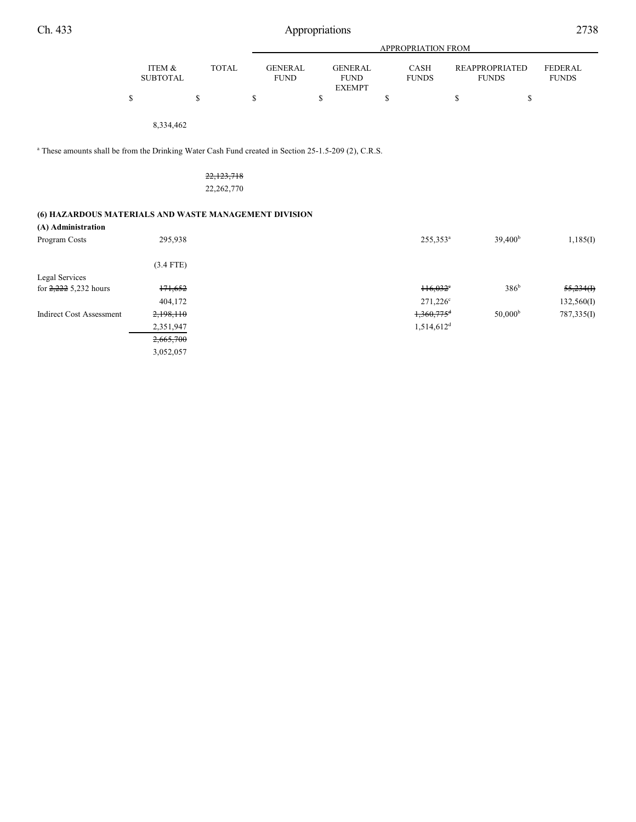|--|--|

|                           |       | APPROPRIATION FROM            |                               |                      |                                       |                         |  |  |  |
|---------------------------|-------|-------------------------------|-------------------------------|----------------------|---------------------------------------|-------------------------|--|--|--|
| ITEM &<br><b>SUBTOTAL</b> | TOTAL | <b>GENERAL</b><br><b>FUND</b> | <b>GENERAL</b><br><b>FUND</b> | CASH<br><b>FUNDS</b> | <b>REAPPROPRIATED</b><br><b>FUNDS</b> | FEDERAL<br><b>FUNDS</b> |  |  |  |
|                           |       |                               | <b>EXEMPT</b>                 |                      |                                       |                         |  |  |  |
|                           |       |                               |                               |                      |                                       |                         |  |  |  |

8,334,462

<sup>a</sup> These amounts shall be from the Drinking Water Cash Fund created in Section 25-1.5-209 (2), C.R.S.

| 22,123,718   |  |
|--------------|--|
| 22, 262, 770 |  |

## **(6) HAZARDOUS MATERIALS AND WASTE MANAGEMENT DIVISION**

| (A) Administration              |             |  |                          |                     |            |
|---------------------------------|-------------|--|--------------------------|---------------------|------------|
| Program Costs                   | 295,938     |  | 255,353 <sup>a</sup>     | 39.400 <sup>b</sup> | 1,185(I)   |
|                                 | $(3.4$ FTE) |  |                          |                     |            |
| Legal Services                  |             |  |                          |                     |            |
| for $2,222$ 5,232 hours         | 171,652     |  | $116,032$ <sup>*</sup>   | 386 <sup>b</sup>    | 55,234(f)  |
|                                 | 404,172     |  | $271,226^{\circ}$        |                     | 132,560(I) |
| <b>Indirect Cost Assessment</b> | 2,198,110   |  | $1,360,775$ <sup>d</sup> | 50,000 <sup>b</sup> | 787,335(I) |
|                                 | 2,351,947   |  | $1,514,612$ <sup>d</sup> |                     |            |
|                                 | 2,665,700   |  |                          |                     |            |
|                                 | 3,052,057   |  |                          |                     |            |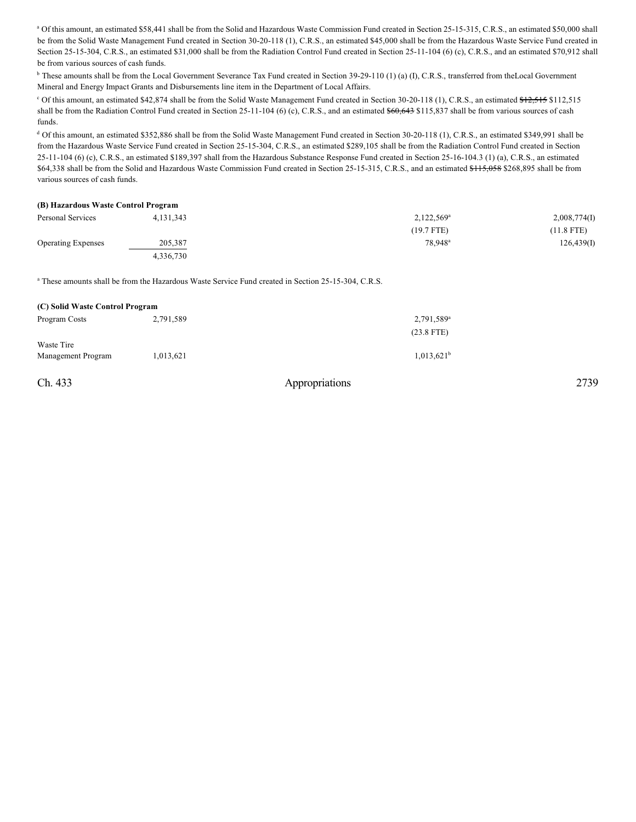<sup>a</sup> Of this amount, an estimated \$58,441 shall be from the Solid and Hazardous Waste Commission Fund created in Section 25-15-315, C.R.S., an estimated \$50,000 shall be from the Solid Waste Management Fund created in Section 30-20-118 (1), C.R.S., an estimated \$45,000 shall be from the Hazardous Waste Service Fund created in Section 25-15-304, C.R.S., an estimated \$31,000 shall be from the Radiation Control Fund created in Section 25-11-104 (6) (c), C.R.S., and an estimated \$70,912 shall be from various sources of cash funds.

<sup>b</sup> These amounts shall be from the Local Government Severance Tax Fund created in Section 39-29-110 (1) (a) (I), C.R.S., transferred from theLocal Government Mineral and Energy Impact Grants and Disbursements line item in the Department of Local Affairs.

<sup>c</sup> Of this amount, an estimated \$42,874 shall be from the Solid Waste Management Fund created in Section 30-20-118 (1), C.R.S., an estimated \$12,515 \$112,515 shall be from the Radiation Control Fund created in Section  $25-11-104$  (6) (c), C.R.S., and an estimated  $$60,643$$  \$115,837 shall be from various sources of cash funds.

<sup>d</sup> Of this amount, an estimated \$352,886 shall be from the Solid Waste Management Fund created in Section 30-20-118 (1), C.R.S., an estimated \$349,991 shall be from the Hazardous Waste Service Fund created in Section 25-15-304, C.R.S., an estimated \$289,105 shall be from the Radiation Control Fund created in Section 25-11-104 (6) (c), C.R.S., an estimated \$189,397 shall from the Hazardous Substance Response Fund created in Section 25-16-104.3 (1) (a), C.R.S., an estimated \$64,338 shall be from the Solid and Hazardous Waste Commission Fund created in Section 25-15-315, C.R.S., and an estimated \$115,058 \$268,895 shall be from various sources of cash funds.

#### **(B) Hazardous Waste Control Program**

| Personal Services         | 4, 131, 343 | 2,122,569 <sup>a</sup> | 2,008,774(I) |  |
|---------------------------|-------------|------------------------|--------------|--|
|                           |             | $(19.7$ FTE)           | $(11.8$ FTE) |  |
| <b>Operating Expenses</b> | 205,387     | 78,948 <sup>a</sup>    | 126,439(I)   |  |
|                           | 4,336,730   |                        |              |  |

<sup>a</sup> These amounts shall be from the Hazardous Waste Service Fund created in Section 25-15-304, C.R.S.

| (C) Solid Waste Control Program |           |                        |  |  |  |  |  |
|---------------------------------|-----------|------------------------|--|--|--|--|--|
| Program Costs                   | 2,791,589 | 2,791,589 <sup>a</sup> |  |  |  |  |  |
|                                 |           | $(23.8$ FTE)           |  |  |  |  |  |
| Waste Tire                      |           |                        |  |  |  |  |  |
| Management Program              | 1,013,621 | $1,013,621^b$          |  |  |  |  |  |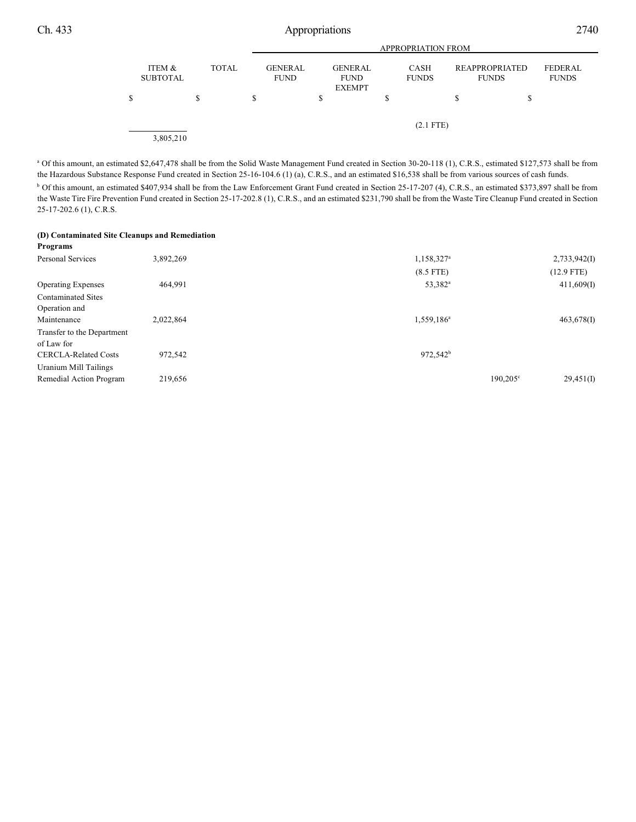|                           |              | <b>APPROPRIATION FROM</b> |                               |    |                                                |    |                      |                                       |   |                         |
|---------------------------|--------------|---------------------------|-------------------------------|----|------------------------------------------------|----|----------------------|---------------------------------------|---|-------------------------|
| ITEM &<br><b>SUBTOTAL</b> | <b>TOTAL</b> |                           | <b>GENERAL</b><br><b>FUND</b> |    | <b>GENERAL</b><br><b>FUND</b><br><b>EXEMPT</b> |    | CASH<br><b>FUNDS</b> | <b>REAPPROPRIATED</b><br><b>FUNDS</b> |   | FEDERAL<br><b>FUNDS</b> |
| \$                        | \$           | S                         |                               | \$ |                                                | \$ |                      | \$                                    | ъ |                         |
|                           |              |                           |                               |    |                                                |    | $(2.1$ FTE)          |                                       |   |                         |
| 3,805,210                 |              |                           |                               |    |                                                |    |                      |                                       |   |                         |

a Of this amount, an estimated \$2,647,478 shall be from the Solid Waste Management Fund created in Section 30-20-118 (1), C.R.S., estimated \$127,573 shall be from the Hazardous Substance Response Fund created in Section 25-16-104.6 (1) (a), C.R.S., and an estimated \$16,538 shall be from various sources of cash funds. <sup>b</sup> Of this amount, an estimated \$407,934 shall be from the Law Enforcement Grant Fund created in Section 25-17-207 (4), C.R.S., an estimated \$373,897 shall be from the Waste Tire Fire Prevention Fund created in Section 25-17-202.8 (1), C.R.S., and an estimated \$231,790 shall be from the Waste Tire Cleanup Fund created in Section 25-17-202.6 (1), C.R.S.

## **(D) Contaminated Site Cleanups and Remediation**

| Programs                    |           |                        |                   |              |
|-----------------------------|-----------|------------------------|-------------------|--------------|
| <b>Personal Services</b>    | 3,892,269 | 1,158,327 <sup>a</sup> |                   | 2,733,942(I) |
|                             |           | $(8.5$ FTE)            |                   | $(12.9$ FTE) |
| <b>Operating Expenses</b>   | 464,991   | 53,382 <sup>a</sup>    |                   | 411,609(I)   |
| <b>Contaminated Sites</b>   |           |                        |                   |              |
| Operation and               |           |                        |                   |              |
| Maintenance                 | 2,022,864 | 1,559,186 <sup>a</sup> |                   | 463,678(I)   |
| Transfer to the Department  |           |                        |                   |              |
| of Law for                  |           |                        |                   |              |
| <b>CERCLA-Related Costs</b> | 972,542   | $972,542^b$            |                   |              |
| Uranium Mill Tailings       |           |                        |                   |              |
| Remedial Action Program     | 219,656   |                        | $190,205^{\circ}$ | 29,451(I)    |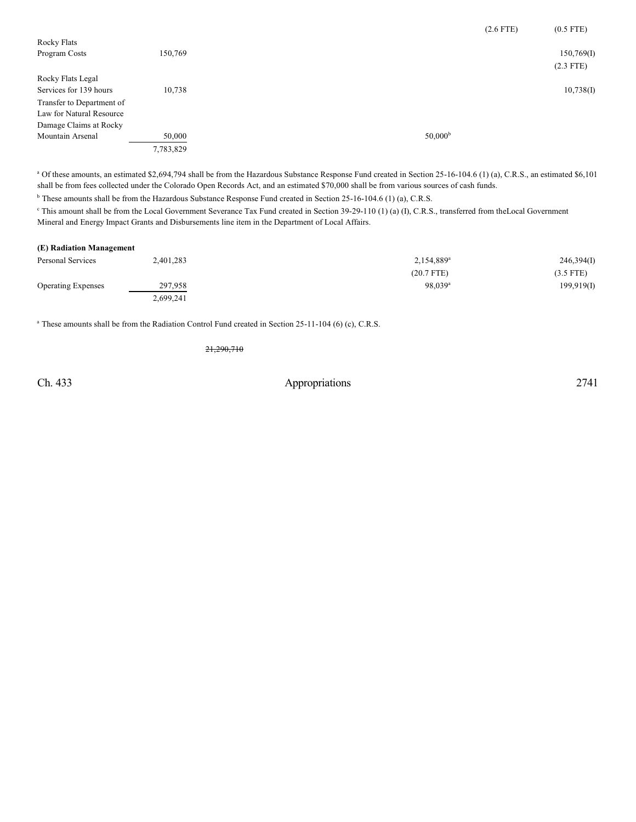|                           |           |  |                     | $(2.6$ FTE) | $(0.5$ FTE) |
|---------------------------|-----------|--|---------------------|-------------|-------------|
| Rocky Flats               |           |  |                     |             |             |
| Program Costs             | 150,769   |  |                     |             | 150,769(1)  |
|                           |           |  |                     |             | $(2.3$ FTE) |
| Rocky Flats Legal         |           |  |                     |             |             |
| Services for 139 hours    | 10.738    |  |                     |             | 10,738(I)   |
| Transfer to Department of |           |  |                     |             |             |
| Law for Natural Resource  |           |  |                     |             |             |
| Damage Claims at Rocky    |           |  |                     |             |             |
| Mountain Arsenal          | 50,000    |  | 50,000 <sup>b</sup> |             |             |
|                           | 7,783,829 |  |                     |             |             |

<sup>a</sup> Of these amounts, an estimated \$2,694,794 shall be from the Hazardous Substance Response Fund created in Section 25-16-104.6 (1) (a), C.R.S., an estimated \$6,101 shall be from fees collected under the Colorado Open Records Act, and an estimated \$70,000 shall be from various sources of cash funds.

<sup>b</sup> These amounts shall be from the Hazardous Substance Response Fund created in Section 25-16-104.6 (1) (a), C.R.S.

<sup>e</sup> This amount shall be from the Local Government Severance Tax Fund created in Section 39-29-110 (1) (a) (I), C.R.S., transferred from theLocal Government Mineral and Energy Impact Grants and Disbursements line item in the Department of Local Affairs.

#### **(E) Radiation Management**

| Personal Services         | 2,401,283 | 2,154,889 <sup>a</sup> | 246,394(I)  |
|---------------------------|-----------|------------------------|-------------|
|                           |           | $(20.7$ FTE)           | $(3.5$ FTE) |
| <b>Operating Expenses</b> | 297,958   | $98.039$ <sup>a</sup>  | 199,919(1)  |
|                           | 2,699,241 |                        |             |

<sup>a</sup> These amounts shall be from the Radiation Control Fund created in Section 25-11-104 (6) (c), C.R.S.

21,290,710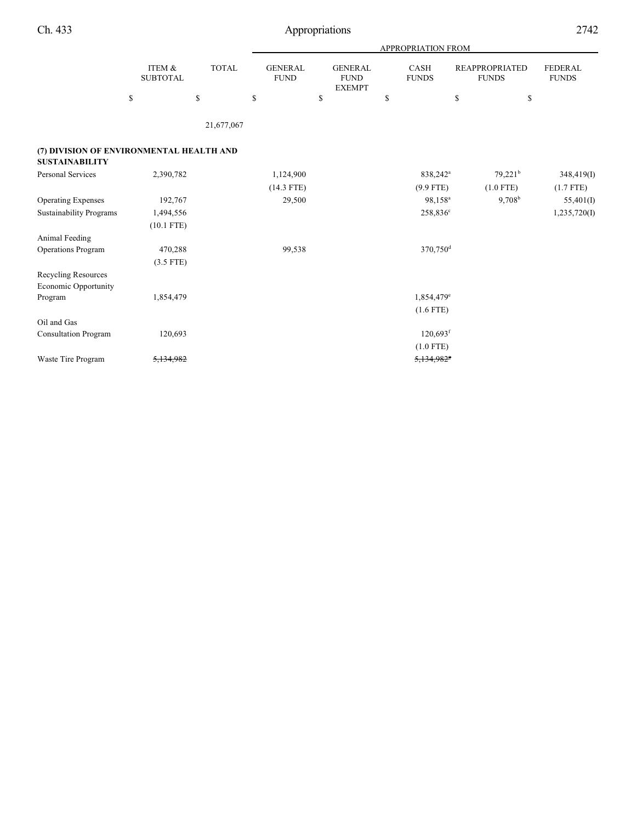|                                                                   |                           |              |                               | <b>APPROPRIATION FROM</b>                      |                        |                                       |                         |  |  |  |  |
|-------------------------------------------------------------------|---------------------------|--------------|-------------------------------|------------------------------------------------|------------------------|---------------------------------------|-------------------------|--|--|--|--|
|                                                                   | ITEM &<br><b>SUBTOTAL</b> | <b>TOTAL</b> | <b>GENERAL</b><br><b>FUND</b> | <b>GENERAL</b><br><b>FUND</b><br><b>EXEMPT</b> | CASH<br><b>FUNDS</b>   | <b>REAPPROPRIATED</b><br><b>FUNDS</b> | FEDERAL<br><b>FUNDS</b> |  |  |  |  |
|                                                                   | \$                        | \$           | \$                            | \$                                             | \$                     | \$<br>\$                              |                         |  |  |  |  |
|                                                                   |                           | 21,677,067   |                               |                                                |                        |                                       |                         |  |  |  |  |
| (7) DIVISION OF ENVIRONMENTAL HEALTH AND<br><b>SUSTAINABILITY</b> |                           |              |                               |                                                |                        |                                       |                         |  |  |  |  |
| <b>Personal Services</b>                                          | 2,390,782                 |              | 1,124,900                     |                                                | 838,242 <sup>a</sup>   | $79,221^b$                            | 348,419(I)              |  |  |  |  |
|                                                                   |                           |              | $(14.3$ FTE)                  |                                                | $(9.9$ FTE)            | $(1.0$ FTE)                           | $(1.7$ FTE)             |  |  |  |  |
| <b>Operating Expenses</b>                                         | 192,767                   |              | 29,500                        |                                                | 98.158 <sup>a</sup>    | 9,708 <sup>b</sup>                    | 55,401(I)               |  |  |  |  |
| <b>Sustainability Programs</b>                                    | 1,494,556                 |              |                               |                                                | 258,836 <sup>c</sup>   |                                       | 1,235,720(I)            |  |  |  |  |
|                                                                   | $(10.1$ FTE)              |              |                               |                                                |                        |                                       |                         |  |  |  |  |
| Animal Feeding                                                    |                           |              |                               |                                                |                        |                                       |                         |  |  |  |  |
| Operations Program                                                | 470,288                   |              | 99,538                        |                                                | 370,750 <sup>d</sup>   |                                       |                         |  |  |  |  |
|                                                                   | $(3.5$ FTE)               |              |                               |                                                |                        |                                       |                         |  |  |  |  |
| Recycling Resources<br>Economic Opportunity                       |                           |              |                               |                                                |                        |                                       |                         |  |  |  |  |
| Program                                                           | 1,854,479                 |              |                               |                                                | 1,854,479 <sup>e</sup> |                                       |                         |  |  |  |  |
|                                                                   |                           |              |                               |                                                | $(1.6$ FTE)            |                                       |                         |  |  |  |  |
| Oil and Gas                                                       |                           |              |                               |                                                |                        |                                       |                         |  |  |  |  |
| Consultation Program                                              | 120,693                   |              |                               |                                                | $120,693$ <sup>f</sup> |                                       |                         |  |  |  |  |
|                                                                   |                           |              |                               |                                                | $(1.0$ FTE)            |                                       |                         |  |  |  |  |
| Waste Tire Program                                                | 5.134.982                 |              |                               |                                                | 5,134,9825             |                                       |                         |  |  |  |  |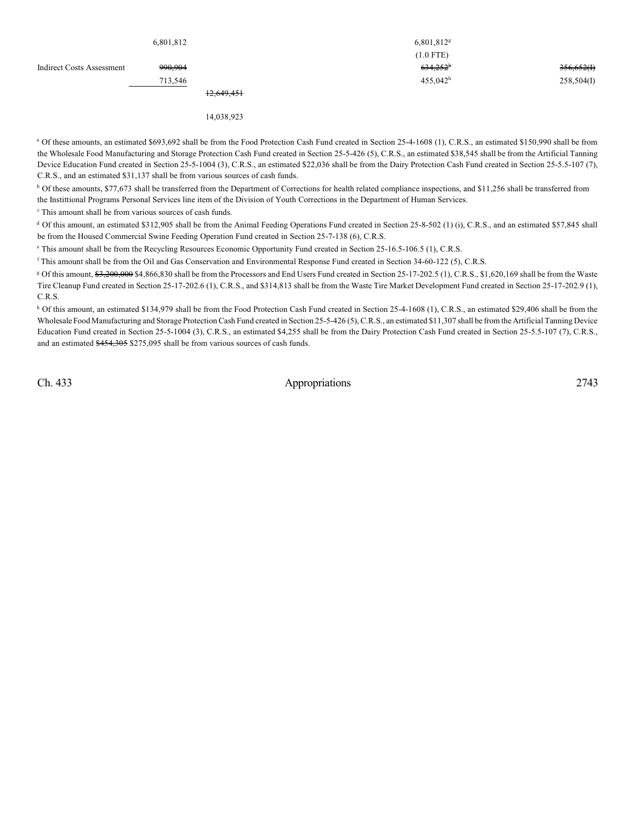|                                  | 6,801,812 |            | $6,801,812$ <sup>g</sup> |            |
|----------------------------------|-----------|------------|--------------------------|------------|
|                                  |           |            | $(1.0$ FTE)              |            |
| <b>Indirect Costs Assessment</b> | 990,904   |            | $634,252^h$              | 356,652(f) |
|                                  | 713,546   |            | $455,042^{\rm h}$        | 258,504(I) |
|                                  |           | 12,649,451 |                          |            |
|                                  |           | 14,038,923 |                          |            |

<sup>a</sup> Of these amounts, an estimated \$693,692 shall be from the Food Protection Cash Fund created in Section 25-4-1608 (1), C.R.S., an estimated \$150,990 shall be from the Wholesale Food Manufacturing and Storage Protection Cash Fund created in Section 25-5-426 (5), C.R.S., an estimated \$38,545 shall be from the Artificial Tanning Device Education Fund created in Section 25-5-1004 (3), C.R.S., an estimated \$22,036 shall be from the Dairy Protection Cash Fund created in Section 25-5.5-107 (7), C.R.S., and an estimated \$31,137 shall be from various sources of cash funds.

<sup>b</sup> Of these amounts, \$77,673 shall be transferred from the Department of Corrections for health related compliance inspections, and \$11,256 shall be transferred from the Instittional Programs Personal Services line item of the Division of Youth Corrections in the Department of Human Services.

<sup>c</sup> This amount shall be from various sources of cash funds.

 $d$  Of this amount, an estimated \$312,905 shall be from the Animal Feeding Operations Fund created in Section 25-8-502 (1) (i), C.R.S., and an estimated \$57,845 shall be from the Housed Commercial Swine Feeding Operation Fund created in Section 25-7-138 (6), C.R.S.

<sup>e</sup> This amount shall be from the Recycling Resources Economic Opportunity Fund created in Section 25-16.5-106.5 (1), C.R.S.

<sup>f</sup> This amount shall be from the Oil and Gas Conservation and Environmental Response Fund created in Section 34-60-122 (5), C.R.S.

<sup>g</sup> Of this amount, \$3,200,000 \$4,866,830 shall be from the Processors and End Users Fund created in Section 25-17-202.5 (1), C.R.S., \$1,620,169 shall be from the Waste Tire Cleanup Fund created in Section 25-17-202.6 (1), C.R.S., and \$314,813 shall be from the Waste Tire Market Development Fund created in Section 25-17-202.9 (1), C.R.S.

<sup>h</sup> Of this amount, an estimated \$134,979 shall be from the Food Protection Cash Fund created in Section 25-4-1608 (1), C.R.S., an estimated \$29,406 shall be from the Wholesale Food Manufacturing and Storage Protection Cash Fund created in Section 25-5-426 (5), C.R.S., an estimated \$11,307 shall be from the Artificial Tanning Device Education Fund created in Section 25-5-1004 (3), C.R.S., an estimated \$4,255 shall be from the Dairy Protection Cash Fund created in Section 25-5.5-107 (7), C.R.S., and an estimated \$454,305 \$275,095 shall be from various sources of cash funds.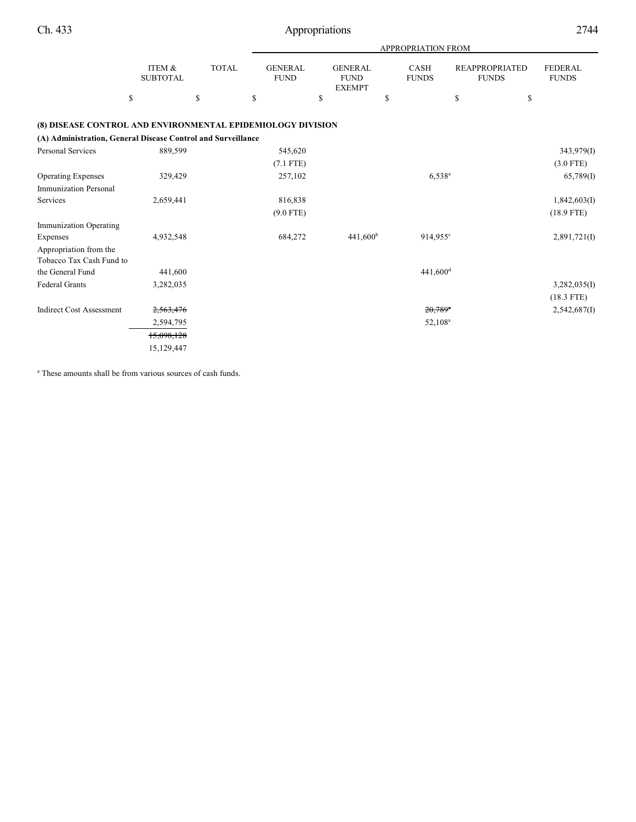|                                                              |                           |              |                               |                                                | <b>APPROPRIATION FROM</b>   |                                       |                                |
|--------------------------------------------------------------|---------------------------|--------------|-------------------------------|------------------------------------------------|-----------------------------|---------------------------------------|--------------------------------|
|                                                              | ITEM &<br><b>SUBTOTAL</b> | <b>TOTAL</b> | <b>GENERAL</b><br><b>FUND</b> | <b>GENERAL</b><br><b>FUND</b><br><b>EXEMPT</b> | <b>CASH</b><br><b>FUNDS</b> | <b>REAPPROPRIATED</b><br><b>FUNDS</b> | <b>FEDERAL</b><br><b>FUNDS</b> |
|                                                              | \$                        | \$           | \$                            | \$                                             | \$                          | \$                                    | \$                             |
| (8) DISEASE CONTROL AND ENVIRONMENTAL EPIDEMIOLOGY DIVISION  |                           |              |                               |                                                |                             |                                       |                                |
| (A) Administration, General Disease Control and Surveillance |                           |              |                               |                                                |                             |                                       |                                |
| <b>Personal Services</b>                                     | 889,599                   |              | 545,620                       |                                                |                             |                                       | 343,979(I)                     |
|                                                              |                           |              | $(7.1$ FTE)                   |                                                |                             |                                       | $(3.0$ FTE)                    |
| <b>Operating Expenses</b>                                    | 329,429                   |              | 257,102                       |                                                | $6,538^{\rm a}$             |                                       | 65,789(1)                      |
| <b>Immunization Personal</b>                                 |                           |              |                               |                                                |                             |                                       |                                |
| Services                                                     | 2,659,441                 |              | 816,838                       |                                                |                             |                                       | 1,842,603(I)                   |
|                                                              |                           |              | $(9.0$ FTE)                   |                                                |                             |                                       | $(18.9$ FTE)                   |
| Immunization Operating                                       |                           |              |                               |                                                |                             |                                       |                                |
| Expenses                                                     | 4,932,548                 |              | 684,272                       | 441,600 <sup>b</sup>                           | $914,955$ <sup>c</sup>      |                                       | 2,891,721(I)                   |
| Appropriation from the                                       |                           |              |                               |                                                |                             |                                       |                                |
| Tobacco Tax Cash Fund to                                     |                           |              |                               |                                                |                             |                                       |                                |
| the General Fund                                             | 441,600                   |              |                               |                                                | $441,600$ <sup>d</sup>      |                                       |                                |
| <b>Federal Grants</b>                                        | 3,282,035                 |              |                               |                                                |                             |                                       | 3,282,035(I)                   |
|                                                              |                           |              |                               |                                                |                             |                                       | $(18.3$ FTE)                   |
| <b>Indirect Cost Assessment</b>                              | 2,563,476                 |              |                               |                                                | $20,789$ <sup>a</sup>       |                                       | 2,542,687(I)                   |
|                                                              | 2,594,795                 |              |                               |                                                | 52,108 <sup>a</sup>         |                                       |                                |
|                                                              | 15,098,128                |              |                               |                                                |                             |                                       |                                |
|                                                              | 15,129,447                |              |                               |                                                |                             |                                       |                                |

<sup>a</sup> These amounts shall be from various sources of cash funds.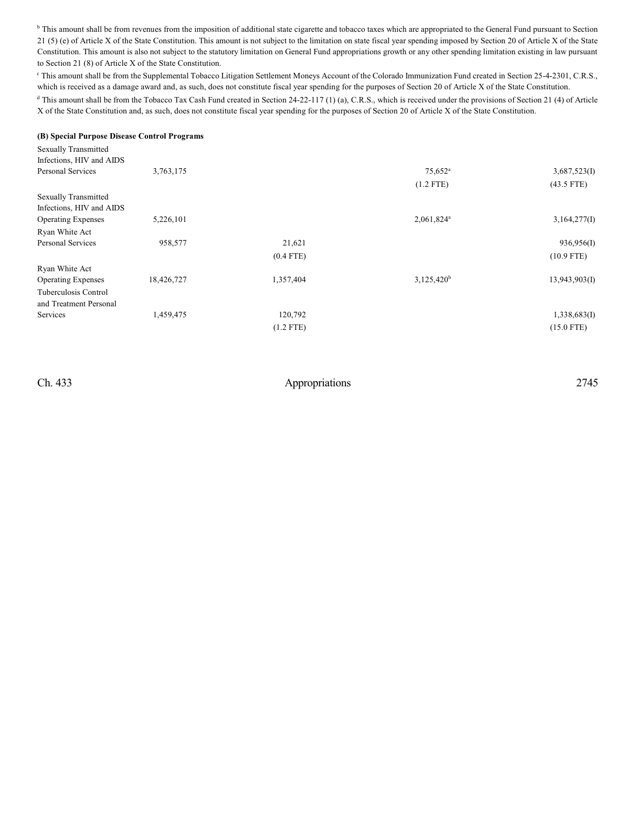<sup>b</sup> This amount shall be from revenues from the imposition of additional state cigarette and tobacco taxes which are appropriated to the General Fund pursuant to Section 21 (5) (e) of Article X of the State Constitution. This amount is not subject to the limitation on state fiscal year spending imposed by Section 20 of Article X of the State Constitution. This amount is also not subject to the statutory limitation on General Fund appropriations growth or any other spending limitation existing in law pursuant to Section 21 (8) of Article X of the State Constitution.

<sup>c</sup> This amount shall be from the Supplemental Tobacco Litigation Settlement Moneys Account of the Colorado Immunization Fund created in Section 25-4-2301, C.R.S., which is received as a damage award and, as such, does not constitute fiscal year spending for the purposes of Section 20 of Article X of the State Constitution.

<sup>d</sup> This amount shall be from the Tobacco Tax Cash Fund created in Section 24-22-117 (1) (a), C.R.S., which is received under the provisions of Section 21 (4) of Article X of the State Constitution and, as such, does not constitute fiscal year spending for the purposes of Section 20 of Article X of the State Constitution.

#### **(B) Special Purpose Disease Control Programs**

| <b>Sexually Transmitted</b> |            |             |                  |                  |
|-----------------------------|------------|-------------|------------------|------------------|
| Infections, HIV and AIDS    |            |             |                  |                  |
| <b>Personal Services</b>    | 3,763,175  |             | $75,652^{\circ}$ | 3,687,523(I)     |
|                             |            |             | $(1.2$ FTE)      | $(43.5$ FTE)     |
| <b>Sexually Transmitted</b> |            |             |                  |                  |
| Infections, HIV and AIDS    |            |             |                  |                  |
| <b>Operating Expenses</b>   | 5,226,101  |             | $2,061,824^a$    | 3,164,277(I)     |
| Ryan White Act              |            |             |                  |                  |
| <b>Personal Services</b>    | 958,577    | 21,621      |                  | 936,956(I)       |
|                             |            | $(0.4$ FTE) |                  | $(10.9$ FTE)     |
| Ryan White Act              |            |             |                  |                  |
| <b>Operating Expenses</b>   | 18,426,727 | 1,357,404   | $3,125,420^b$    | $13,943,903$ (I) |
| Tuberculosis Control        |            |             |                  |                  |
| and Treatment Personal      |            |             |                  |                  |
| Services                    | 1,459,475  | 120,792     |                  | 1,338,683(I)     |
|                             |            | $(1.2$ FTE) |                  | $(15.0$ FTE)     |
|                             |            |             |                  |                  |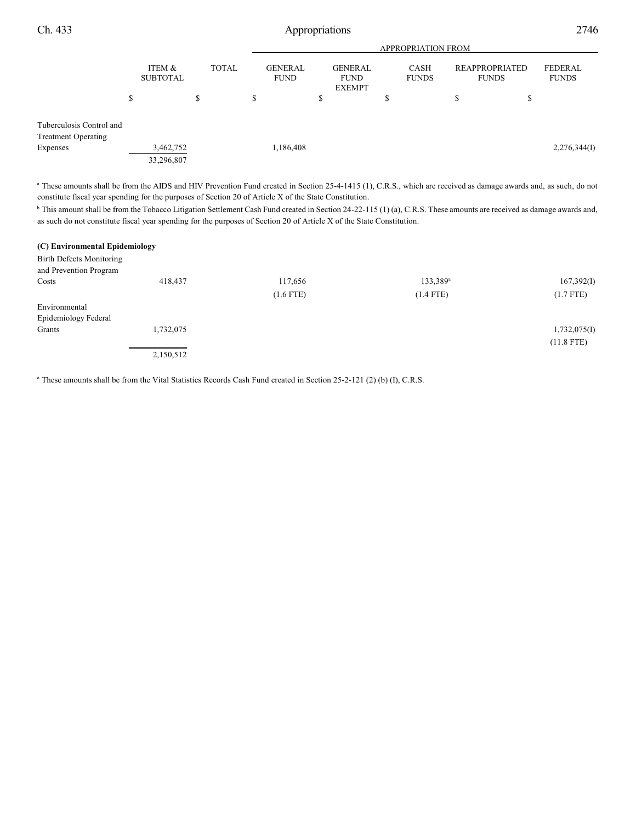|                                               |                           |           |              | <b>APPROPRIATION FROM</b>     |                                                |   |                      |                                |                                |
|-----------------------------------------------|---------------------------|-----------|--------------|-------------------------------|------------------------------------------------|---|----------------------|--------------------------------|--------------------------------|
|                                               | ITEM &<br><b>SUBTOTAL</b> |           | <b>TOTAL</b> | <b>GENERAL</b><br><b>FUND</b> | <b>GENERAL</b><br><b>FUND</b><br><b>EXEMPT</b> |   | CASH<br><b>FUNDS</b> | REAPPROPRIATED<br><b>FUNDS</b> | <b>FEDERAL</b><br><b>FUNDS</b> |
|                                               | \$                        | S         | \$           |                               | S                                              | ъ | \$                   | Φ<br>Ф                         |                                |
| Tuberculosis Control and                      |                           |           |              |                               |                                                |   |                      |                                |                                |
| <b>Treatment Operating</b><br><b>Expenses</b> | 33,296,807                | 3,462,752 |              | 1,186,408                     |                                                |   |                      |                                | 2,276,344(I)                   |
|                                               |                           |           |              |                               |                                                |   |                      |                                |                                |

<sup>a</sup> These amounts shall be from the AIDS and HIV Prevention Fund created in Section 25-4-1415 (1), C.R.S., which are received as damage awards and, as such, do not constitute fiscal year spending for the purposes of Section 20 of Article X of the State Constitution.

<sup>b</sup> This amount shall be from the Tobacco Litigation Settlement Cash Fund created in Section 24-22-115 (1) (a), C.R.S. These amounts are received as damage awards and, as such do not constitute fiscal year spending for the purposes of Section 20 of Article X of the State Constitution.

| (C) Environmental Epidemiology |           |             |                      |              |
|--------------------------------|-----------|-------------|----------------------|--------------|
| Birth Defects Monitoring       |           |             |                      |              |
| and Prevention Program         |           |             |                      |              |
| Costs                          | 418,437   | 117,656     | 133,389 <sup>a</sup> | 167,392(I)   |
|                                |           | $(1.6$ FTE) | $(1.4$ FTE)          | $(1.7$ FTE)  |
| Environmental                  |           |             |                      |              |
| Epidemiology Federal           |           |             |                      |              |
| Grants                         | 1,732,075 |             |                      | 1,732,075(I) |
|                                |           |             |                      | $(11.8$ FTE) |
|                                | 2,150,512 |             |                      |              |

<sup>a</sup> These amounts shall be from the Vital Statistics Records Cash Fund created in Section 25-2-121 (2) (b) (I), C.R.S.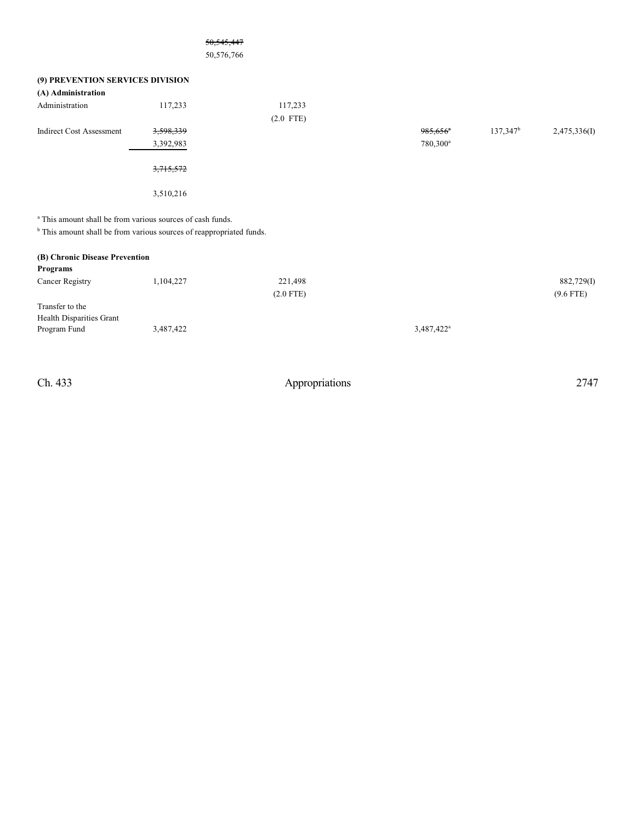|                                                                       | 50, 545, 447                                                                    |                        |                                                |                      |                           |
|-----------------------------------------------------------------------|---------------------------------------------------------------------------------|------------------------|------------------------------------------------|----------------------|---------------------------|
|                                                                       | 50,576,766                                                                      |                        |                                                |                      |                           |
| (9) PREVENTION SERVICES DIVISION<br>(A) Administration                |                                                                                 |                        |                                                |                      |                           |
| Administration                                                        | 117,233                                                                         | 117,233<br>$(2.0$ FTE) |                                                |                      |                           |
| <b>Indirect Cost Assessment</b>                                       | 3,598,339<br>3,392,983                                                          |                        | $985,656$ <sup>*</sup><br>780,300 <sup>a</sup> | 137,347 <sup>b</sup> | 2,475,336(I)              |
|                                                                       | 3,715,572                                                                       |                        |                                                |                      |                           |
|                                                                       | 3,510,216                                                                       |                        |                                                |                      |                           |
| <sup>a</sup> This amount shall be from various sources of cash funds. | <sup>b</sup> This amount shall be from various sources of reappropriated funds. |                        |                                                |                      |                           |
| (B) Chronic Disease Prevention<br>Programs                            |                                                                                 |                        |                                                |                      |                           |
| Cancer Registry                                                       | 1,104,227                                                                       | 221,498<br>$(2.0$ FTE) |                                                |                      | 882,729(I)<br>$(9.6$ FTE) |
| Transfer to the<br>Health Disparities Grant                           |                                                                                 |                        |                                                |                      |                           |
| Program Fund                                                          | 3,487,422                                                                       |                        | 3,487,422 <sup>a</sup>                         |                      |                           |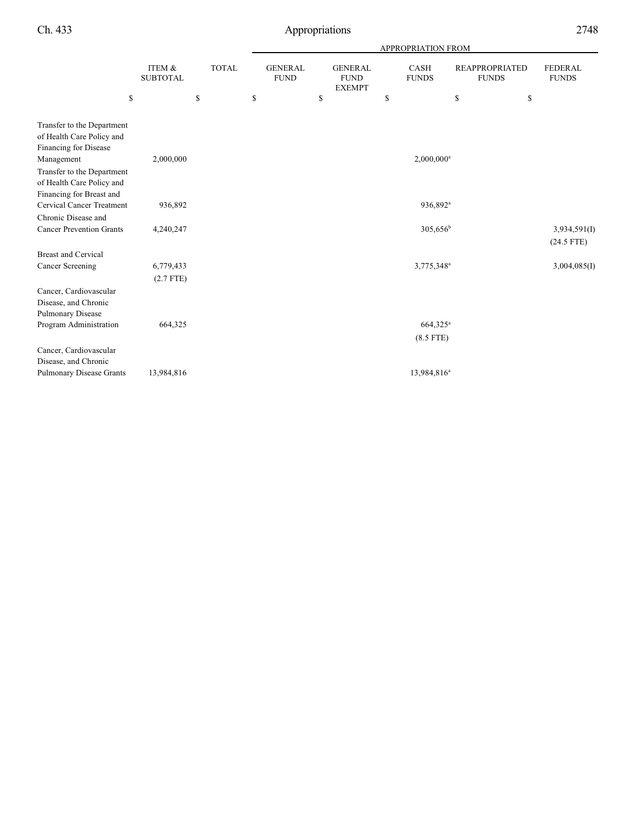|                                                                                     |                           |              | APPROPRIATION FROM            |    |                                                |    |                          |                                       |                                |
|-------------------------------------------------------------------------------------|---------------------------|--------------|-------------------------------|----|------------------------------------------------|----|--------------------------|---------------------------------------|--------------------------------|
|                                                                                     | ITEM &<br><b>SUBTOTAL</b> | <b>TOTAL</b> | <b>GENERAL</b><br><b>FUND</b> |    | <b>GENERAL</b><br><b>FUND</b><br><b>EXEMPT</b> |    | CASH<br><b>FUNDS</b>     | <b>REAPPROPRIATED</b><br><b>FUNDS</b> | <b>FEDERAL</b><br><b>FUNDS</b> |
| \$                                                                                  |                           | \$           | \$                            | \$ |                                                | \$ |                          | \$                                    | \$                             |
| Transfer to the Department<br>of Health Care Policy and<br>Financing for Disease    |                           |              |                               |    |                                                |    |                          |                                       |                                |
| Management                                                                          | 2,000,000                 |              |                               |    |                                                |    | $2,000,000$ <sup>a</sup> |                                       |                                |
| Transfer to the Department<br>of Health Care Policy and<br>Financing for Breast and |                           |              |                               |    |                                                |    |                          |                                       |                                |
| <b>Cervical Cancer Treatment</b>                                                    | 936,892                   |              |                               |    |                                                |    | 936,892 <sup>a</sup>     |                                       |                                |
| Chronic Disease and                                                                 |                           |              |                               |    |                                                |    |                          |                                       |                                |
| <b>Cancer Prevention Grants</b>                                                     | 4,240,247                 |              |                               |    |                                                |    | $305,656^{\rm b}$        |                                       | 3,934,591(I)<br>$(24.5$ FTE)   |
| <b>Breast and Cervical</b>                                                          |                           |              |                               |    |                                                |    |                          |                                       |                                |
| <b>Cancer Screening</b>                                                             | 6,779,433                 |              |                               |    |                                                |    | 3,775,348 <sup>a</sup>   |                                       | 3,004,085(I)                   |
|                                                                                     | $(2.7$ FTE)               |              |                               |    |                                                |    |                          |                                       |                                |
| Cancer, Cardiovascular<br>Disease, and Chronic<br>Pulmonary Disease                 |                           |              |                               |    |                                                |    |                          |                                       |                                |
| Program Administration                                                              | 664,325                   |              |                               |    |                                                |    | $664,325^{\rm a}$        |                                       |                                |
|                                                                                     |                           |              |                               |    |                                                |    | $(8.5$ FTE)              |                                       |                                |
| Cancer, Cardiovascular<br>Disease, and Chronic                                      |                           |              |                               |    |                                                |    |                          |                                       |                                |
| <b>Pulmonary Disease Grants</b>                                                     | 13,984,816                |              |                               |    |                                                |    | 13,984,816 <sup>a</sup>  |                                       |                                |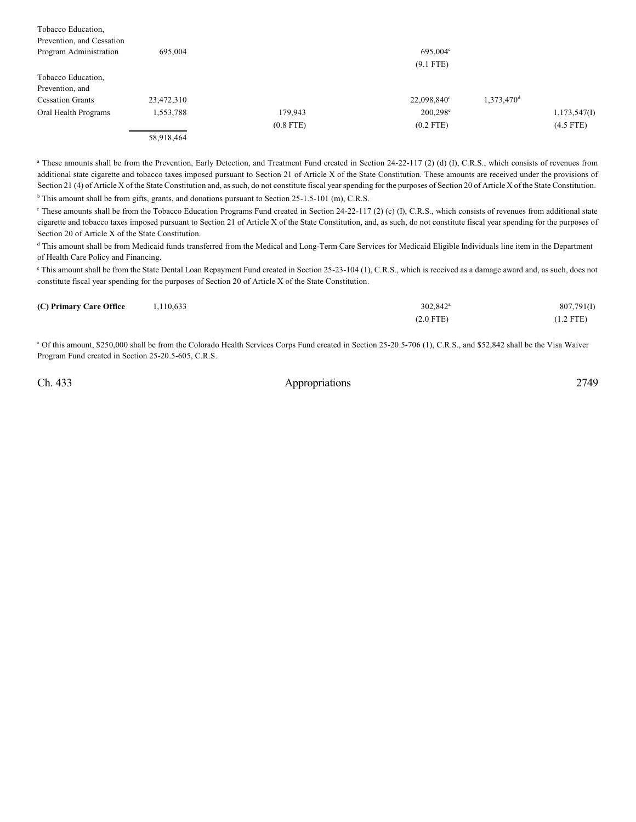| Tobacco Education,        |            |             |             |                        |              |
|---------------------------|------------|-------------|-------------|------------------------|--------------|
| Prevention, and Cessation |            |             |             |                        |              |
| Program Administration    | 695,004    |             | 695,004°    |                        |              |
|                           |            |             | $(9.1$ FTE) |                        |              |
| Tobacco Education,        |            |             |             |                        |              |
| Prevention, and           |            |             |             |                        |              |
| <b>Cessation Grants</b>   | 23,472,310 |             | 22,098,840° | 1,373,470 <sup>d</sup> |              |
| Oral Health Programs      | 1,553,788  | 179,943     | $200,298^e$ |                        | 1,173,547(I) |
|                           |            | $(0.8$ FTE) | $(0.2$ FTE) |                        | $(4.5$ FTE)  |
|                           | 58,918,464 |             |             |                        |              |

<sup>a</sup> These amounts shall be from the Prevention, Early Detection, and Treatment Fund created in Section 24-22-117 (2) (d) (I), C.R.S., which consists of revenues from additional state cigarette and tobacco taxes imposed pursuant to Section 21 of Article X of the State Constitution. These amounts are received under the provisions of Section 21 (4) of Article X of the State Constitution and, as such, do not constitute fiscal year spending for the purposes of Section 20 of Article X of the State Constitution.  $b$  This amount shall be from gifts, grants, and donations pursuant to Section 25-1.5-101 (m), C.R.S.

<sup>c</sup> These amounts shall be from the Tobacco Education Programs Fund created in Section 24-22-117 (2) (c) (I), C.R.S., which consists of revenues from additional state cigarette and tobacco taxes imposed pursuant to Section 21 of Article X of the State Constitution, and, as such, do not constitute fiscal year spending for the purposes of Section 20 of Article X of the State Constitution.

<sup>d</sup> This amount shall be from Medicaid funds transferred from the Medical and Long-Term Care Services for Medicaid Eligible Individuals line item in the Department of Health Care Policy and Financing.

<sup>e</sup> This amount shall be from the State Dental Loan Repayment Fund created in Section 25-23-104 (1), C.R.S., which is received as a damage award and, as such, does not constitute fiscal year spending for the purposes of Section 20 of Article X of the State Constitution.

| (C) Primary Care Office | 1,110,633 | 302,842 <sup>a</sup> | 807,791(I)  |
|-------------------------|-----------|----------------------|-------------|
|                         |           | $(2.0$ FTE)          | $(1.2$ FTE) |

<sup>a</sup> Of this amount, \$250,000 shall be from the Colorado Health Services Corps Fund created in Section 25-20.5-706 (1), C.R.S., and \$52,842 shall be the Visa Waiver Program Fund created in Section 25-20.5-605, C.R.S.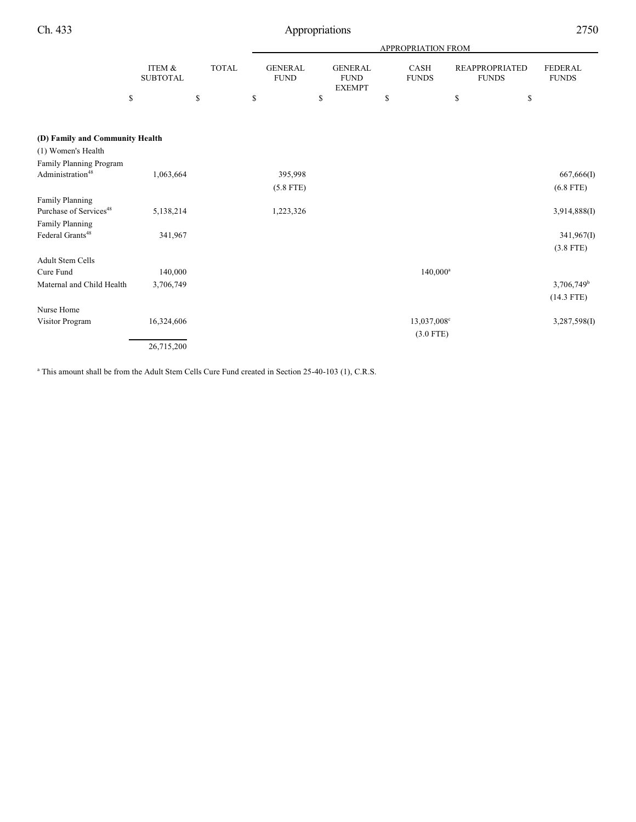|                                    |                           |              | APPROPRIATION FROM            |                                                |                             |                                       |                                |  |  |  |  |
|------------------------------------|---------------------------|--------------|-------------------------------|------------------------------------------------|-----------------------------|---------------------------------------|--------------------------------|--|--|--|--|
|                                    | ITEM &<br><b>SUBTOTAL</b> | <b>TOTAL</b> | <b>GENERAL</b><br><b>FUND</b> | <b>GENERAL</b><br><b>FUND</b><br><b>EXEMPT</b> | <b>CASH</b><br><b>FUNDS</b> | <b>REAPPROPRIATED</b><br><b>FUNDS</b> | <b>FEDERAL</b><br><b>FUNDS</b> |  |  |  |  |
|                                    | \$                        | \$           | \$                            | \$                                             | \$                          | \$                                    | \$                             |  |  |  |  |
| (D) Family and Community Health    |                           |              |                               |                                                |                             |                                       |                                |  |  |  |  |
| (1) Women's Health                 |                           |              |                               |                                                |                             |                                       |                                |  |  |  |  |
| Family Planning Program            |                           |              |                               |                                                |                             |                                       |                                |  |  |  |  |
| Administration <sup>48</sup>       | 1,063,664                 |              | 395,998                       |                                                |                             |                                       | 667,666(I)                     |  |  |  |  |
|                                    |                           |              | $(5.8$ FTE)                   |                                                |                             |                                       | $(6.8$ FTE)                    |  |  |  |  |
| Family Planning                    |                           |              |                               |                                                |                             |                                       |                                |  |  |  |  |
| Purchase of Services <sup>48</sup> | 5,138,214                 |              | 1,223,326                     |                                                |                             |                                       | 3,914,888(I)                   |  |  |  |  |
| Family Planning                    |                           |              |                               |                                                |                             |                                       |                                |  |  |  |  |
| Federal Grants <sup>48</sup>       | 341,967                   |              |                               |                                                |                             |                                       | 341,967(I)                     |  |  |  |  |
|                                    |                           |              |                               |                                                |                             |                                       | $(3.8$ FTE)                    |  |  |  |  |
| <b>Adult Stem Cells</b>            |                           |              |                               |                                                |                             |                                       |                                |  |  |  |  |
| Cure Fund                          | 140,000                   |              |                               |                                                | $140,000^{\rm a}$           |                                       |                                |  |  |  |  |
| Maternal and Child Health          | 3,706,749                 |              |                               |                                                |                             |                                       | $3,706,749$ <sup>b</sup>       |  |  |  |  |
|                                    |                           |              |                               |                                                |                             |                                       | $(14.3$ FTE)                   |  |  |  |  |
| Nurse Home                         |                           |              |                               |                                                |                             |                                       |                                |  |  |  |  |
| Visitor Program                    | 16,324,606                |              |                               |                                                | $13,037,008^{\circ}$        |                                       | 3,287,598(I)                   |  |  |  |  |
|                                    |                           |              |                               |                                                | $(3.0$ FTE)                 |                                       |                                |  |  |  |  |
|                                    | 26,715,200                |              |                               |                                                |                             |                                       |                                |  |  |  |  |

<sup>a</sup> This amount shall be from the Adult Stem Cells Cure Fund created in Section 25-40-103 (1), C.R.S.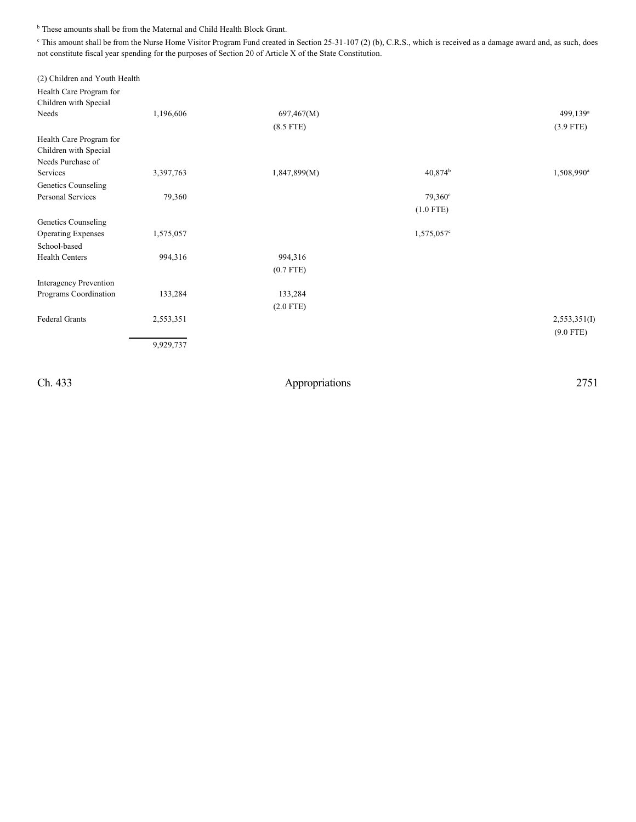$^{\rm b}$  These amounts shall be from the Maternal and Child Health Block Grant.

<sup>c</sup> This amount shall be from the Nurse Home Visitor Program Fund created in Section 25-31-107 (2) (b), C.R.S., which is received as a damage award and, as such, does not constitute fiscal year spending for the purposes of Section 20 of Article X of the State Constitution.

| (2) Children and Youth Health |                                   |                                       |                        |
|-------------------------------|-----------------------------------|---------------------------------------|------------------------|
|                               |                                   |                                       |                        |
|                               |                                   |                                       |                        |
| 1,196,606                     | 697,467(M)                        |                                       | 499,139 <sup>a</sup>   |
|                               | $(8.5$ FTE)                       |                                       | $(3.9$ FTE)            |
|                               |                                   |                                       |                        |
|                               |                                   |                                       |                        |
|                               |                                   |                                       |                        |
| 3,397,763                     | 1,847,899(M)                      | 40,874 <sup>b</sup>                   | 1,508,990 <sup>a</sup> |
|                               |                                   |                                       |                        |
| 79,360                        |                                   | 79,360 <sup>c</sup>                   |                        |
|                               |                                   | $(1.0$ FTE)                           |                        |
|                               |                                   |                                       |                        |
| 1,575,057                     |                                   | $1,575,057$ <sup>c</sup>              |                        |
|                               |                                   |                                       |                        |
| 994,316                       | 994,316                           |                                       |                        |
|                               |                                   |                                       |                        |
|                               |                                   |                                       |                        |
|                               |                                   |                                       |                        |
|                               |                                   |                                       |                        |
|                               |                                   |                                       | 2,553,351(I)           |
|                               |                                   |                                       | $(9.0$ FTE)            |
|                               |                                   |                                       |                        |
|                               |                                   |                                       |                        |
|                               |                                   |                                       |                        |
|                               | 133,284<br>2,553,351<br>9,929,737 | $(0.7$ FTE)<br>133,284<br>$(2.0$ FTE) |                        |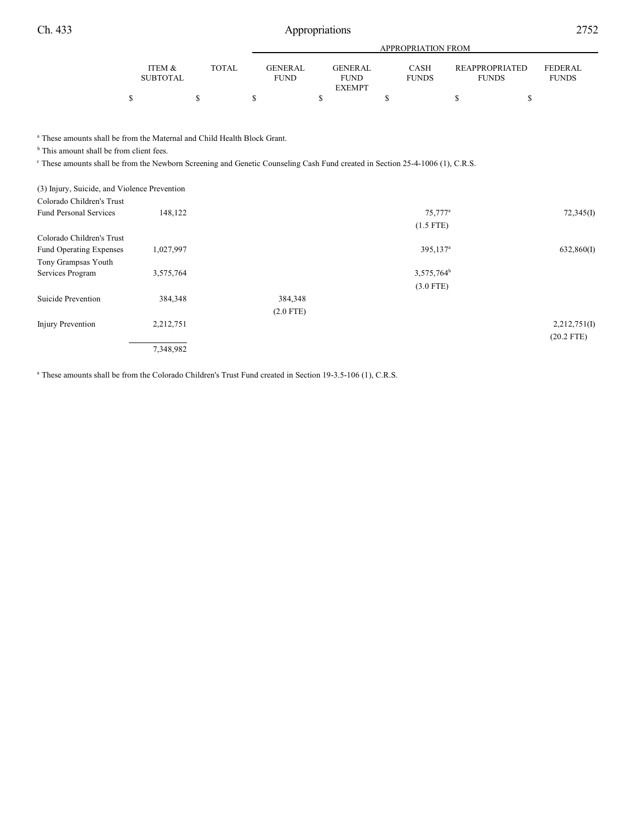| Ch. 433 | Appropriations            |                           |                               |                                                |                             |                                       |                         |  |  |
|---------|---------------------------|---------------------------|-------------------------------|------------------------------------------------|-----------------------------|---------------------------------------|-------------------------|--|--|
|         |                           | <b>APPROPRIATION FROM</b> |                               |                                                |                             |                                       |                         |  |  |
|         | ITEM &<br><b>SUBTOTAL</b> | <b>TOTAL</b>              | <b>GENERAL</b><br><b>FUND</b> | <b>GENERAL</b><br><b>FUND</b><br><b>EXEMPT</b> | <b>CASH</b><br><b>FUNDS</b> | <b>REAPPROPRIATED</b><br><b>FUNDS</b> | FEDERAL<br><b>FUNDS</b> |  |  |
|         |                           |                           |                               |                                                |                             |                                       |                         |  |  |

<sup>a</sup> These amounts shall be from the Maternal and Child Health Block Grant.

 $<sup>b</sup>$  This amount shall be from client fees.</sup>

<sup>c</sup> These amounts shall be from the Newborn Screening and Genetic Counseling Cash Fund created in Section 25-4-1006 (1), C.R.S.

(3) Injury, Suicide, and Violence Prevention

| Colorado Children's Trust      |           |             |                        |              |
|--------------------------------|-----------|-------------|------------------------|--------------|
| <b>Fund Personal Services</b>  | 148,122   |             | 75,777 <sup>a</sup>    | 72,345(I)    |
|                                |           |             | $(1.5$ FTE)            |              |
| Colorado Children's Trust      |           |             |                        |              |
| <b>Fund Operating Expenses</b> | 1,027,997 |             | 395,137 <sup>a</sup>   | 632,860(I)   |
| Tony Grampsas Youth            |           |             |                        |              |
| Services Program               | 3,575,764 |             | 3,575,764 <sup>b</sup> |              |
|                                |           |             | $(3.0$ FTE)            |              |
| Suicide Prevention             | 384,348   | 384,348     |                        |              |
|                                |           | $(2.0$ FTE) |                        |              |
| Injury Prevention              | 2,212,751 |             |                        | 2,212,751(I) |
|                                |           |             |                        | $(20.2$ FTE) |
|                                | 7,348,982 |             |                        |              |
|                                |           |             |                        |              |

<sup>a</sup> These amounts shall be from the Colorado Children's Trust Fund created in Section 19-3.5-106 (1), C.R.S.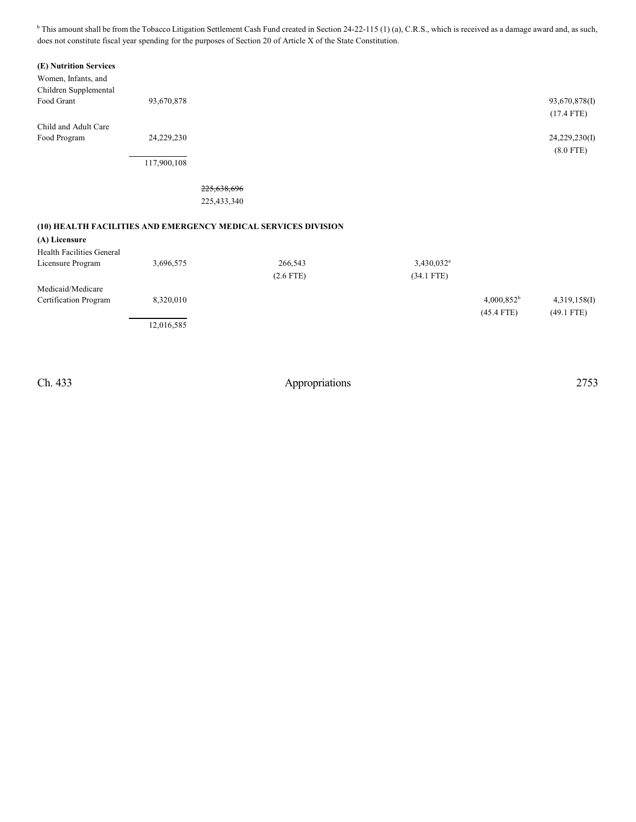$b$  This amount shall be from the Tobacco Litigation Settlement Cash Fund created in Section 24-22-115 (1) (a), C.R.S., which is received as a damage award and, as such, does not constitute fiscal year spending for the purposes of Section 20 of Article X of the State Constitution.

#### **(E) Nutrition Services**

| Women, Infants, and<br>Children Supplemental                   |             |             |             |                        |               |               |
|----------------------------------------------------------------|-------------|-------------|-------------|------------------------|---------------|---------------|
| Food Grant                                                     | 93,670,878  |             |             |                        |               | 93,670,878(I) |
|                                                                |             |             |             |                        |               | $(17.4$ FTE)  |
| Child and Adult Care                                           |             |             |             |                        |               |               |
| Food Program                                                   | 24,229,230  |             |             |                        |               | 24,229,230(I) |
|                                                                |             |             |             |                        |               | $(8.0$ FTE)   |
|                                                                | 117,900,108 |             |             |                        |               |               |
|                                                                |             | 225,638,696 |             |                        |               |               |
|                                                                |             | 225,433,340 |             |                        |               |               |
|                                                                |             |             |             |                        |               |               |
| (10) HEALTH FACILITIES AND EMERGENCY MEDICAL SERVICES DIVISION |             |             |             |                        |               |               |
| (A) Licensure                                                  |             |             |             |                        |               |               |
| <b>Health Facilities General</b>                               |             |             |             |                        |               |               |
| Licensure Program                                              | 3,696,575   |             | 266,543     | 3,430,032 <sup>a</sup> |               |               |
|                                                                |             |             | $(2.6$ FTE) | $(34.1$ FTE)           |               |               |
| Medicaid/Medicare                                              |             |             |             |                        |               |               |
| Certification Program                                          | 8,320,010   |             |             |                        | $4,000,852^b$ | 4,319,158(I)  |
|                                                                |             |             |             |                        | $(45.4$ FTE)  | $(49.1$ FTE)  |
|                                                                | 12,016,585  |             |             |                        |               |               |
|                                                                |             |             |             |                        |               |               |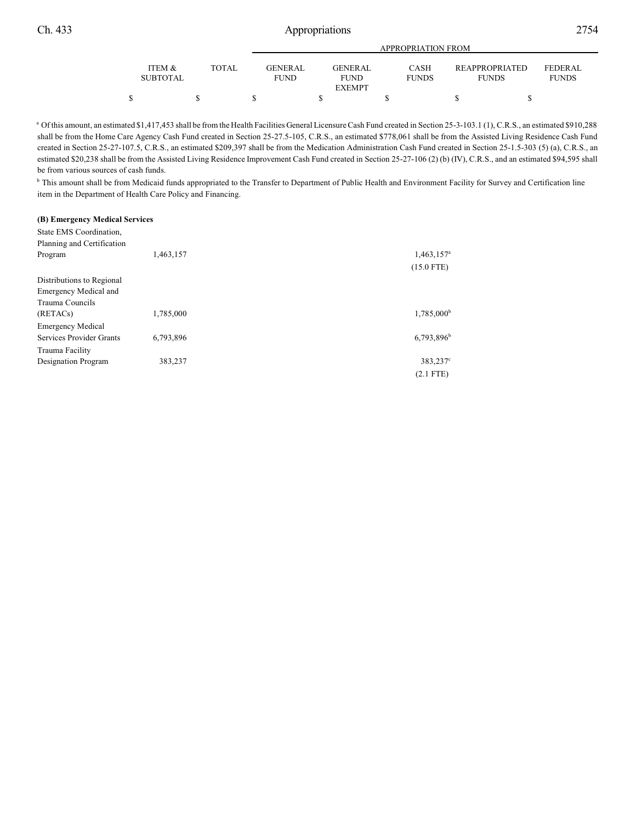|                   |              | <b>APPROPRIATION FROM</b> |  |                |  |              |  |                       |  |                |  |
|-------------------|--------------|---------------------------|--|----------------|--|--------------|--|-----------------------|--|----------------|--|
| <b>ITEM &amp;</b> | <b>TOTAL</b> | <b>GENER AL</b>           |  | <b>GENERAL</b> |  | <b>CASH</b>  |  | <b>REAPPROPRIATED</b> |  | <b>FEDERAL</b> |  |
| <b>SUBTOTAL</b>   |              | <b>FUND</b>               |  | <b>FUND</b>    |  | <b>FUNDS</b> |  | <b>FUNDS</b>          |  | <b>FUNDS</b>   |  |
|                   |              |                           |  | <b>EXEMPT</b>  |  |              |  |                       |  |                |  |
|                   |              |                           |  |                |  |              |  |                       |  |                |  |

<sup>a</sup> Of this amount, an estimated \$1,417,453 shall be from the Health Facilities General Licensure Cash Fund created in Section 25-3-103.1 (1), C.R.S., an estimated \$910,288 shall be from the Home Care Agency Cash Fund created in Section 25-27.5-105, C.R.S., an estimated \$778,061 shall be from the Assisted Living Residence Cash Fund created in Section 25-27-107.5, C.R.S., an estimated \$209,397 shall be from the Medication Administration Cash Fund created in Section 25-1.5-303 (5) (a), C.R.S., an estimated \$20,238 shall be from the Assisted Living Residence Improvement Cash Fund created in Section 25-27-106 (2) (b) (IV), C.R.S., and an estimated \$94,595 shall be from various sources of cash funds.

<sup>b</sup> This amount shall be from Medicaid funds appropriated to the Transfer to Department of Public Health and Environment Facility for Survey and Certification line item in the Department of Health Care Policy and Financing.

#### **(B) Emergency Medical Services**

| State EMS Coordination,<br>Planning and Certification |           |                          |
|-------------------------------------------------------|-----------|--------------------------|
| Program                                               | 1,463,157 | 1,463,157 <sup>a</sup>   |
|                                                       |           | $(15.0$ FTE)             |
| Distributions to Regional                             |           |                          |
| <b>Emergency Medical and</b>                          |           |                          |
| Trauma Councils                                       |           |                          |
| (RETACs)                                              | 1,785,000 | 1,785,000 <sup>b</sup>   |
| <b>Emergency Medical</b>                              |           |                          |
| Services Provider Grants                              | 6,793,896 | $6,793,896$ <sup>b</sup> |
| Trauma Facility                                       |           |                          |
| Designation Program                                   | 383,237   | 383,237 <sup>c</sup>     |
|                                                       |           | $(2.1$ FTE)              |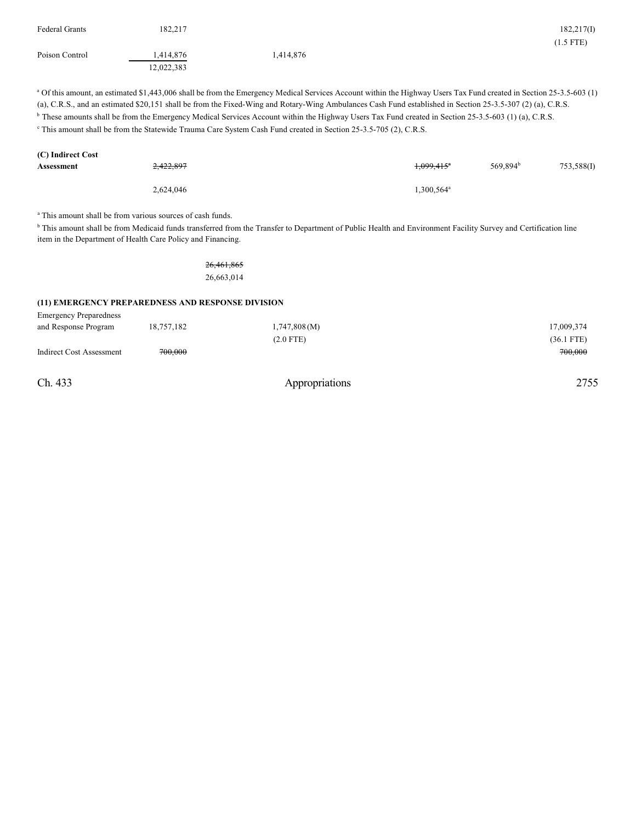| <b>Federal Grants</b><br>Poison Control                                                                                                                                                                                                                                                                                                                                                                                                                                                                                                                                                                                                        | 182,217<br>1,414,876<br>12,022,383 | 1,414,876                                                                                                                                                                 |                        |                      | 182,217(I)<br>$(1.5$ FTE) |  |  |  |  |
|------------------------------------------------------------------------------------------------------------------------------------------------------------------------------------------------------------------------------------------------------------------------------------------------------------------------------------------------------------------------------------------------------------------------------------------------------------------------------------------------------------------------------------------------------------------------------------------------------------------------------------------------|------------------------------------|---------------------------------------------------------------------------------------------------------------------------------------------------------------------------|------------------------|----------------------|---------------------------|--|--|--|--|
| <sup>a</sup> Of this amount, an estimated \$1,443,006 shall be from the Emergency Medical Services Account within the Highway Users Tax Fund created in Section 25-3.5-603 (1)<br>(a), C.R.S., and an estimated \$20,151 shall be from the Fixed-Wing and Rotary-Wing Ambulances Cash Fund established in Section 25-3.5-307 (2) (a), C.R.S.<br><sup>b</sup> These amounts shall be from the Emergency Medical Services Account within the Highway Users Tax Fund created in Section 25-3.5-603 (1) (a), C.R.S.<br><sup>c</sup> This amount shall be from the Statewide Trauma Care System Cash Fund created in Section 25-3.5-705 (2), C.R.S. |                                    |                                                                                                                                                                           |                        |                      |                           |  |  |  |  |
| (C) Indirect Cost                                                                                                                                                                                                                                                                                                                                                                                                                                                                                                                                                                                                                              |                                    |                                                                                                                                                                           |                        |                      |                           |  |  |  |  |
| <b>Assessment</b>                                                                                                                                                                                                                                                                                                                                                                                                                                                                                                                                                                                                                              |                                    |                                                                                                                                                                           |                        | 569,894 <sup>b</sup> | 753,588(I)                |  |  |  |  |
|                                                                                                                                                                                                                                                                                                                                                                                                                                                                                                                                                                                                                                                | 2,624,046                          |                                                                                                                                                                           | 1,300,564 <sup>a</sup> |                      |                           |  |  |  |  |
| <sup>a</sup> This amount shall be from various sources of cash funds.<br>item in the Department of Health Care Policy and Financing.                                                                                                                                                                                                                                                                                                                                                                                                                                                                                                           |                                    | <sup>b</sup> This amount shall be from Medicaid funds transferred from the Transfer to Department of Public Health and Environment Facility Survey and Certification line |                        |                      |                           |  |  |  |  |
|                                                                                                                                                                                                                                                                                                                                                                                                                                                                                                                                                                                                                                                |                                    | 26, 461, 865                                                                                                                                                              |                        |                      |                           |  |  |  |  |
|                                                                                                                                                                                                                                                                                                                                                                                                                                                                                                                                                                                                                                                |                                    | 26,663,014                                                                                                                                                                |                        |                      |                           |  |  |  |  |
| (11) EMERGENCY PREPAREDNESS AND RESPONSE DIVISION                                                                                                                                                                                                                                                                                                                                                                                                                                                                                                                                                                                              |                                    |                                                                                                                                                                           |                        |                      |                           |  |  |  |  |
| <b>Emergency Preparedness</b>                                                                                                                                                                                                                                                                                                                                                                                                                                                                                                                                                                                                                  |                                    |                                                                                                                                                                           |                        |                      |                           |  |  |  |  |
| and Response Program                                                                                                                                                                                                                                                                                                                                                                                                                                                                                                                                                                                                                           | 18,757,182                         | 1,747,808(M)                                                                                                                                                              |                        |                      | 17,009,374                |  |  |  |  |
|                                                                                                                                                                                                                                                                                                                                                                                                                                                                                                                                                                                                                                                |                                    | $(2.0$ FTE)                                                                                                                                                               |                        |                      | $(36.1$ FTE)              |  |  |  |  |
| <b>Indirect Cost Assessment</b>                                                                                                                                                                                                                                                                                                                                                                                                                                                                                                                                                                                                                | 700.000                            |                                                                                                                                                                           |                        |                      | 700.000                   |  |  |  |  |
| Ch. 433                                                                                                                                                                                                                                                                                                                                                                                                                                                                                                                                                                                                                                        |                                    | Appropriations                                                                                                                                                            |                        |                      | 2755                      |  |  |  |  |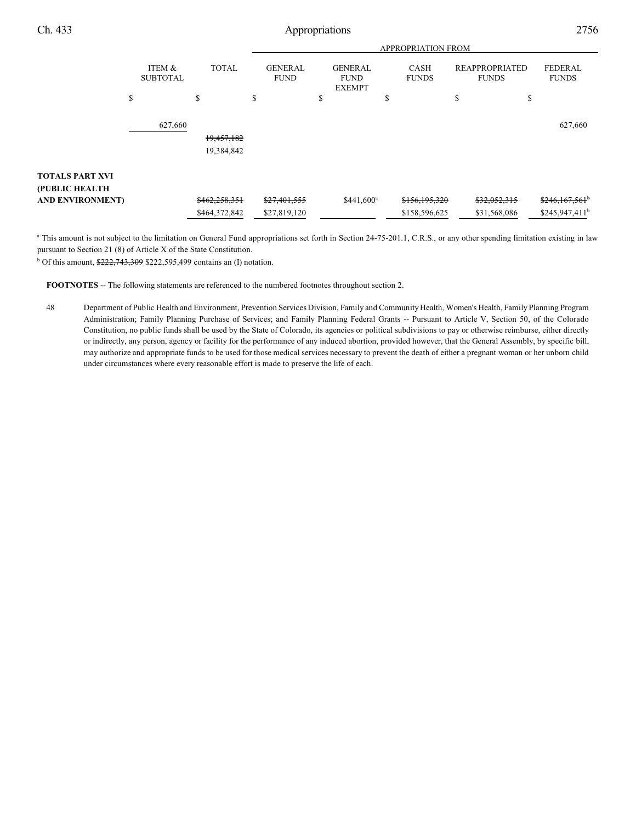|                                          |                           |               |                               |                                                | <b>APPROPRIATION FROM</b> |                             |    |                                       |                                |
|------------------------------------------|---------------------------|---------------|-------------------------------|------------------------------------------------|---------------------------|-----------------------------|----|---------------------------------------|--------------------------------|
|                                          | ITEM &<br><b>SUBTOTAL</b> | <b>TOTAL</b>  | <b>GENERAL</b><br><b>FUND</b> | <b>GENERAL</b><br><b>FUND</b><br><b>EXEMPT</b> |                           | <b>CASH</b><br><b>FUNDS</b> |    | <b>REAPPROPRIATED</b><br><b>FUNDS</b> | <b>FEDERAL</b><br><b>FUNDS</b> |
|                                          | \$                        | \$            | \$                            | \$                                             | \$                        |                             | \$ | \$                                    |                                |
|                                          | 627,660                   |               |                               |                                                |                           |                             |    |                                       | 627,660                        |
|                                          |                           | 19,457,182    |                               |                                                |                           |                             |    |                                       |                                |
|                                          |                           | 19,384,842    |                               |                                                |                           |                             |    |                                       |                                |
| <b>TOTALS PART XVI</b><br>(PUBLIC HEALTH |                           |               |                               |                                                |                           |                             |    |                                       |                                |
| <b>AND ENVIRONMENT)</b>                  |                           | \$462,258,351 | \$27,401,555                  | \$441,600 <sup>a</sup>                         |                           | \$156,195,320               |    | \$32,052,315                          | $$246,167,561$ <sup>b</sup>    |
|                                          |                           | \$464,372,842 | \$27,819,120                  |                                                |                           | \$158,596,625               |    | \$31,568,086                          | \$245,947,411 <sup>b</sup>     |

<sup>a</sup> This amount is not subject to the limitation on General Fund appropriations set forth in Section 24-75-201.1, C.R.S., or any other spending limitation existing in law pursuant to Section 21 (8) of Article X of the State Constitution.

<sup>b</sup> Of this amount,  $222,743,309$  \$222,595,499 contains an (I) notation.

**FOOTNOTES** -- The following statements are referenced to the numbered footnotes throughout section 2.

48 Department of Public Health and Environment, Prevention Services Division, Family and Community Health, Women's Health, Family Planning Program Administration; Family Planning Purchase of Services; and Family Planning Federal Grants -- Pursuant to Article V, Section 50, of the Colorado Constitution, no public funds shall be used by the State of Colorado, its agencies or political subdivisions to pay or otherwise reimburse, either directly or indirectly, any person, agency or facility for the performance of any induced abortion, provided however, that the General Assembly, by specific bill, may authorize and appropriate funds to be used for those medical services necessary to prevent the death of either a pregnant woman or her unborn child under circumstances where every reasonable effort is made to preserve the life of each.